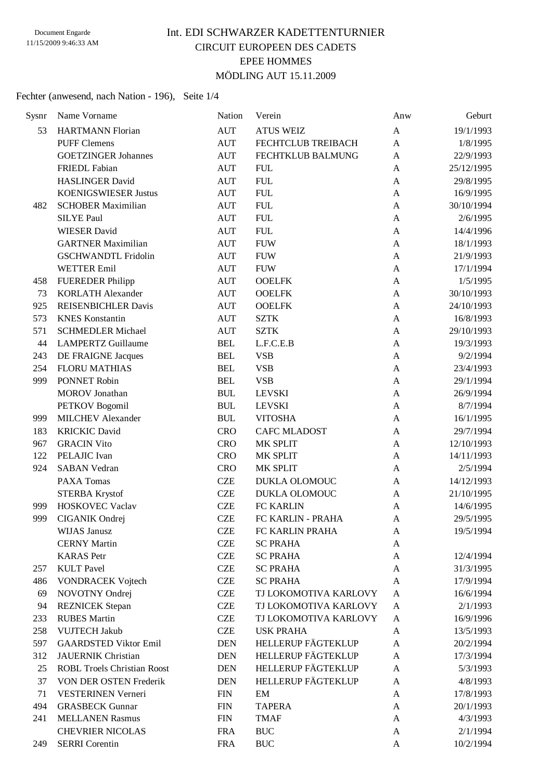### Int. EDI SCHWARZER KADETTENTURNIER CIRCUIT EUROPEEN DES CADETS EPEE HOMMES MÖDLING AUT 15.11.2009

#### Fechter (anwesend, nach Nation - 196), Seite 1/4

| Sysnr | Name Vorname                       | Nation     | Verein                    | Anw          | Geburt     |
|-------|------------------------------------|------------|---------------------------|--------------|------------|
| 53    | <b>HARTMANN Florian</b>            | <b>AUT</b> | <b>ATUS WEIZ</b>          | A            | 19/1/1993  |
|       | <b>PUFF Clemens</b>                | <b>AUT</b> | FECHTCLUB TREIBACH        | $\mathbf{A}$ | 1/8/1995   |
|       | <b>GOETZINGER Johannes</b>         | <b>AUT</b> | FECHTKLUB BALMUNG         | A            | 22/9/1993  |
|       | <b>FRIEDL Fabian</b>               | <b>AUT</b> | <b>FUL</b>                | A            | 25/12/1995 |
|       | <b>HASLINGER David</b>             | <b>AUT</b> | <b>FUL</b>                | A            | 29/8/1995  |
|       | <b>KOENIGSWIESER Justus</b>        | <b>AUT</b> | <b>FUL</b>                | A            | 16/9/1995  |
| 482   | <b>SCHOBER Maximilian</b>          | <b>AUT</b> | <b>FUL</b>                | A            | 30/10/1994 |
|       | <b>SILYE Paul</b>                  | <b>AUT</b> | <b>FUL</b>                | A            | 2/6/1995   |
|       | <b>WIESER David</b>                | <b>AUT</b> | <b>FUL</b>                | A            | 14/4/1996  |
|       | <b>GARTNER Maximilian</b>          | <b>AUT</b> | <b>FUW</b>                | A            | 18/1/1993  |
|       | <b>GSCHWANDTL Fridolin</b>         | <b>AUT</b> | <b>FUW</b>                | A            | 21/9/1993  |
|       | <b>WETTER Emil</b>                 | <b>AUT</b> | <b>FUW</b>                | A            | 17/1/1994  |
| 458   | <b>FUEREDER Philipp</b>            | <b>AUT</b> | <b>OOELFK</b>             | A            | 1/5/1995   |
| 73    | <b>KORLATH Alexander</b>           | <b>AUT</b> | <b>OOELFK</b>             | A            | 30/10/1993 |
| 925   | <b>REISENBICHLER Davis</b>         | <b>AUT</b> | <b>OOELFK</b>             | A            | 24/10/1993 |
| 573   | <b>KNES</b> Konstantin             | <b>AUT</b> | <b>SZTK</b>               | A            | 16/8/1993  |
| 571   | <b>SCHMEDLER Michael</b>           | <b>AUT</b> | <b>SZTK</b>               | $\mathbf{A}$ | 29/10/1993 |
| 44    | <b>LAMPERTZ Guillaume</b>          | <b>BEL</b> | L.F.C.E.B                 | A            | 19/3/1993  |
| 243   | DE FRAIGNE Jacques                 | <b>BEL</b> | <b>VSB</b>                | A            | 9/2/1994   |
| 254   | <b>FLORU MATHIAS</b>               | <b>BEL</b> | <b>VSB</b>                | A            | 23/4/1993  |
| 999   | PONNET Robin                       | <b>BEL</b> | <b>VSB</b>                | A            | 29/1/1994  |
|       | <b>MOROV</b> Jonathan              | <b>BUL</b> | <b>LEVSKI</b>             | A            | 26/9/1994  |
|       | <b>PETKOV</b> Bogomil              | <b>BUL</b> | <b>LEVSKI</b>             | A            | 8/7/1994   |
| 999   | <b>MILCHEV</b> Alexander           | <b>BUL</b> | <b>VITOSHA</b>            | A            | 16/1/1995  |
| 183   | <b>KRICKIC David</b>               | <b>CRO</b> | <b>CAFC MLADOST</b>       | A            | 29/7/1994  |
| 967   | <b>GRACIN Vito</b>                 | <b>CRO</b> | MK SPLIT                  | A            | 12/10/1993 |
| 122   | PELAJIC Ivan                       | <b>CRO</b> | MK SPLIT                  | A            | 14/11/1993 |
| 924   | <b>SABAN Vedran</b>                | <b>CRO</b> | MK SPLIT                  | A            | 2/5/1994   |
|       | PAXA Tomas                         | <b>CZE</b> | DUKLA OLOMOUC             | A            | 14/12/1993 |
|       | <b>STERBA Krystof</b>              | <b>CZE</b> | DUKLA OLOMOUC             | A            | 21/10/1995 |
| 999   | <b>HOSKOVEC Vaclav</b>             | <b>CZE</b> | FC KARLIN                 | A            | 14/6/1995  |
| 999   | CIGANIK Ondrej                     | <b>CZE</b> | FC KARLIN - PRAHA         | A            | 29/5/1995  |
|       | WIJAS Janusz                       | <b>CZE</b> | FC KARLIN PRAHA           | A            | 19/5/1994  |
|       | <b>CERNY Martin</b>                | <b>CZE</b> | <b>SC PRAHA</b>           | A            |            |
|       | <b>KARAS</b> Petr                  | <b>CZE</b> | <b>SC PRAHA</b>           | A            | 12/4/1994  |
| 257   | <b>KULT</b> Pavel                  | <b>CZE</b> | <b>SC PRAHA</b>           | A            | 31/3/1995  |
| 486   | <b>VONDRACEK Vojtech</b>           | <b>CZE</b> | <b>SC PRAHA</b>           | A            | 17/9/1994  |
| 69    | NOVOTNY Ondrej                     | <b>CZE</b> | TJ LOKOMOTIVA KARLOVY     | A            | 16/6/1994  |
| 94    | <b>REZNICEK</b> Stepan             | <b>CZE</b> | TJ LOKOMOTIVA KARLOVY     | A            | 2/1/1993   |
| 233   | <b>RUBES Martin</b>                | <b>CZE</b> | TJ LOKOMOTIVA KARLOVY     | A            | 16/9/1996  |
| 258   | <b>VUJTECH Jakub</b>               | <b>CZE</b> | <b>USK PRAHA</b>          | A            | 13/5/1993  |
| 597   | <b>GAARDSTED Viktor Emil</b>       | <b>DEN</b> | <b>HELLERUP FÄGTEKLUP</b> | A            | 20/2/1994  |
| 312   | <b>JAUERNIK Christian</b>          | <b>DEN</b> | <b>HELLERUP FÄGTEKLUP</b> | A            | 17/3/1994  |
| 25    | <b>ROBL Troels Christian Roost</b> | <b>DEN</b> | <b>HELLERUP FÄGTEKLUP</b> | A            | 5/3/1993   |
| 37    | VON DER OSTEN Frederik             | <b>DEN</b> | <b>HELLERUP FÄGTEKLUP</b> | A            | 4/8/1993   |
| 71    | <b>VESTERINEN Verneri</b>          | <b>FIN</b> | EM                        | A            | 17/8/1993  |
| 494   | <b>GRASBECK Gunnar</b>             | <b>FIN</b> | <b>TAPERA</b>             | A            | 20/1/1993  |
| 241   | <b>MELLANEN Rasmus</b>             | <b>FIN</b> | <b>TMAF</b>               | A            | 4/3/1993   |
|       | <b>CHEVRIER NICOLAS</b>            | <b>FRA</b> | <b>BUC</b>                | $\mathbf{A}$ | 2/1/1994   |
| 249   | <b>SERRI</b> Corentin              | <b>FRA</b> | <b>BUC</b>                | A            | 10/2/1994  |
|       |                                    |            |                           |              |            |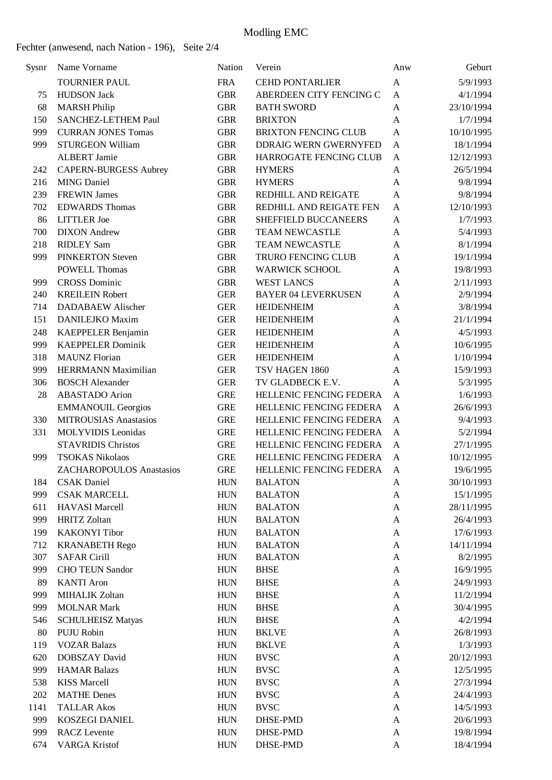| Sysnr      | Name Vorname                 | Nation     | Verein                           | Anw          | Geburt     |
|------------|------------------------------|------------|----------------------------------|--------------|------------|
|            | <b>TOURNIER PAUL</b>         | <b>FRA</b> | <b>CEHD PONTARLIER</b>           | A            | 5/9/1993   |
| 75         | <b>HUDSON</b> Jack           | <b>GBR</b> | ABERDEEN CITY FENCING C          | A            | 4/1/1994   |
| 68         | <b>MARSH Philip</b>          | <b>GBR</b> | <b>BATH SWORD</b>                | A            | 23/10/1994 |
| 150        | SANCHEZ-LETHEM Paul          | <b>GBR</b> | <b>BRIXTON</b>                   | A            | 1/7/1994   |
| 999        | <b>CURRAN JONES Tomas</b>    | <b>GBR</b> | <b>BRIXTON FENCING CLUB</b>      | $\mathbf{A}$ | 10/10/1995 |
| 999        | <b>STURGEON William</b>      | <b>GBR</b> | <b>DDRAIG WERN GWERNYFED</b>     | A            | 18/1/1994  |
|            | <b>ALBERT Jamie</b>          | <b>GBR</b> | <b>HARROGATE FENCING CLUB</b>    | A            | 12/12/1993 |
| 242        | CAPERN-BURGESS Aubrey        | <b>GBR</b> | <b>HYMERS</b>                    | A            | 26/5/1994  |
| 216        | <b>MING Daniel</b>           | <b>GBR</b> | <b>HYMERS</b>                    | A            | 9/8/1994   |
| 239        | <b>FREWIN James</b>          | <b>GBR</b> | REDHILL AND REIGATE              | A            | 9/8/1994   |
| 702        | <b>EDWARDS Thomas</b>        | <b>GBR</b> | REDHILL AND REIGATE FEN          | A            | 12/10/1993 |
| 86         | <b>LITTLER</b> Joe           | <b>GBR</b> | SHEFFIELD BUCCANEERS             | A            | 1/7/1993   |
| 700        | <b>DIXON</b> Andrew          | <b>GBR</b> | <b>TEAM NEWCASTLE</b>            | A            | 5/4/1993   |
| 218        | <b>RIDLEY Sam</b>            | <b>GBR</b> | <b>TEAM NEWCASTLE</b>            | A            | 8/1/1994   |
| 999        | <b>PINKERTON Steven</b>      | <b>GBR</b> | TRURO FENCING CLUB               | A            | 19/1/1994  |
|            | <b>POWELL Thomas</b>         | <b>GBR</b> | <b>WARWICK SCHOOL</b>            | A            | 19/8/1993  |
| 999        | <b>CROSS Dominic</b>         | <b>GBR</b> | <b>WEST LANCS</b>                | A            | 2/11/1993  |
| 240        | <b>KREILEIN Robert</b>       | <b>GER</b> | <b>BAYER 04 LEVERKUSEN</b>       | A            | 2/9/1994   |
| 714        | <b>DADABAEW Alischer</b>     | <b>GER</b> | <b>HEIDENHEIM</b>                | A            | 3/8/1994   |
| 151        | DANILEJKO Maxim              | <b>GER</b> | <b>HEIDENHEIM</b>                | A            | 21/1/1994  |
| 248        | KAEPPELER Benjamin           | <b>GER</b> | <b>HEIDENHEIM</b>                | A            | 4/5/1993   |
| 999        | <b>KAEPPELER Dominik</b>     | <b>GER</b> | <b>HEIDENHEIM</b>                | A            | 10/6/1995  |
| 318        | <b>MAUNZ</b> Florian         | <b>GER</b> | <b>HEIDENHEIM</b>                | A            | 1/10/1994  |
| 999        | <b>HERRMANN Maximilian</b>   | <b>GER</b> | TSV HAGEN 1860                   | A            | 15/9/1993  |
| 306        | <b>BOSCH Alexander</b>       | <b>GER</b> | TV GLADBECK E.V.                 | A            | 5/3/1995   |
| 28         | <b>ABASTADO</b> Arion        | <b>GRE</b> | HELLENIC FENCING FEDERA          | A            | 1/6/1993   |
|            | <b>EMMANOUIL Georgios</b>    | <b>GRE</b> | HELLENIC FENCING FEDERA          | A            | 26/6/1993  |
| 330        | <b>MITROUSIAS Anastasios</b> | <b>GRE</b> | HELLENIC FENCING FEDERA          | A            | 9/4/1993   |
| 331        | <b>MOLYVIDIS</b> Leonidas    | <b>GRE</b> | HELLENIC FENCING FEDERA          | $\mathbf{A}$ | 5/2/1994   |
|            | <b>STAVRIDIS Christos</b>    | <b>GRE</b> | HELLENIC FENCING FEDERA          | A            | 27/1/1995  |
| 999        | <b>TSOKAS Nikolaos</b>       | <b>GRE</b> | HELLENIC FENCING FEDERA          | A            | 10/12/1995 |
|            | ZACHAROPOULOS Anastasios     | <b>GRE</b> | HELLENIC FENCING FEDERA          |              | 19/6/1995  |
| 184        | <b>CSAK</b> Daniel           |            | <b>BALATON</b>                   | A            |            |
| 999        |                              | <b>HUN</b> |                                  | A            | 30/10/1993 |
|            | <b>CSAK MARCELL</b>          | <b>HUN</b> | <b>BALATON</b>                   | $\mathbf{A}$ | 15/1/1995  |
| 611<br>999 | <b>HAVASI</b> Marcell        | <b>HUN</b> | <b>BALATON</b><br><b>BALATON</b> | $\mathbf{A}$ | 28/11/1995 |
|            | <b>HRITZ Zoltan</b>          | <b>HUN</b> |                                  | $\mathbf{A}$ | 26/4/1993  |
| 199        | <b>KAKONYI</b> Tibor         | <b>HUN</b> | <b>BALATON</b>                   | $\mathbf{A}$ | 17/6/1993  |
| 712        | <b>KRANABETH Rego</b>        | <b>HUN</b> | <b>BALATON</b>                   | A            | 14/11/1994 |
| 307        | <b>SAFAR Cirill</b>          | <b>HUN</b> | <b>BALATON</b>                   | A            | 8/2/1995   |
| 999        | <b>CHO TEUN Sandor</b>       | <b>HUN</b> | <b>BHSE</b>                      | A            | 16/9/1995  |
| 89         | <b>KANTI Aron</b>            | <b>HUN</b> | <b>BHSE</b>                      | A            | 24/9/1993  |
| 999        | <b>MIHALIK Zoltan</b>        | <b>HUN</b> | <b>BHSE</b>                      | A            | 11/2/1994  |
| 999        | <b>MOLNAR Mark</b>           | <b>HUN</b> | <b>BHSE</b>                      | A            | 30/4/1995  |
| 546        | <b>SCHULHEISZ Matyas</b>     | <b>HUN</b> | <b>BHSE</b>                      | A            | 4/2/1994   |
| 80         | PUJU Robin                   | <b>HUN</b> | <b>BKLVE</b>                     | A            | 26/8/1993  |
| 119        | <b>VOZAR Balazs</b>          | <b>HUN</b> | <b>BKLVE</b>                     | A            | 1/3/1993   |
| 620        | <b>DOBSZAY</b> David         | <b>HUN</b> | <b>BVSC</b>                      | A            | 20/12/1993 |
| 999        | <b>HAMAR Balazs</b>          | <b>HUN</b> | <b>BVSC</b>                      | A            | 12/5/1995  |
| 538        | <b>KISS Marcell</b>          | <b>HUN</b> | <b>BVSC</b>                      | A            | 27/3/1994  |
| 202        | <b>MATHE Denes</b>           | <b>HUN</b> | <b>BVSC</b>                      | A            | 24/4/1993  |
| 1141       | <b>TALLAR Akos</b>           | <b>HUN</b> | <b>BVSC</b>                      | A            | 14/5/1993  |
| 999        | <b>KOSZEGI DANIEL</b>        | <b>HUN</b> | DHSE-PMD                         | A            | 20/6/1993  |
| 999        | <b>RACZ</b> Levente          | <b>HUN</b> | DHSE-PMD                         | $\mathbf{A}$ | 19/8/1994  |
| 674        | <b>VARGA Kristof</b>         | <b>HUN</b> | DHSE-PMD                         | $\mathbf{A}$ | 18/4/1994  |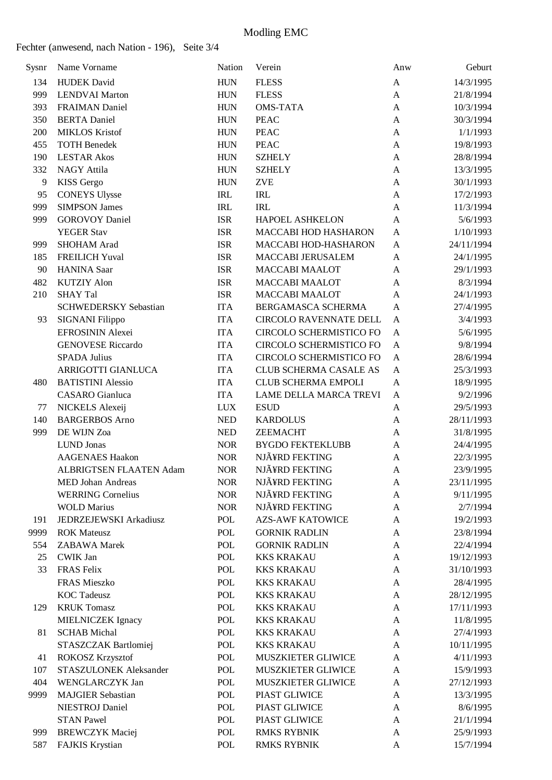Fechter (anwesend, nach Nation - 196), Seite 3/4

| Sysnr | Name Vorname                 | Nation     | Verein                        | Anw          | Geburt     |
|-------|------------------------------|------------|-------------------------------|--------------|------------|
| 134   | <b>HUDEK</b> David           | <b>HUN</b> | <b>FLESS</b>                  | A            | 14/3/1995  |
| 999   | <b>LENDVAI Marton</b>        | <b>HUN</b> | <b>FLESS</b>                  | A            | 21/8/1994  |
| 393   | <b>FRAIMAN Daniel</b>        | <b>HUN</b> | <b>OMS-TATA</b>               | $\mathbf{A}$ | 10/3/1994  |
| 350   | <b>BERTA</b> Daniel          | <b>HUN</b> | <b>PEAC</b>                   | A            | 30/3/1994  |
| 200   | <b>MIKLOS Kristof</b>        | <b>HUN</b> | <b>PEAC</b>                   | A            | 1/1/1993   |
| 455   | <b>TOTH Benedek</b>          | <b>HUN</b> | <b>PEAC</b>                   | A            | 19/8/1993  |
| 190   | <b>LESTAR Akos</b>           | <b>HUN</b> | <b>SZHELY</b>                 | $\mathbf{A}$ | 28/8/1994  |
| 332   | <b>NAGY Attila</b>           | <b>HUN</b> | <b>SZHELY</b>                 | A            | 13/3/1995  |
| 9     | <b>KISS</b> Gergo            | <b>HUN</b> | <b>ZVE</b>                    | A            | 30/1/1993  |
| 95    | <b>CONEYS Ulysse</b>         | <b>IRL</b> | <b>IRL</b>                    | A            | 17/2/1993  |
| 999   | <b>SIMPSON James</b>         | <b>IRL</b> | <b>IRL</b>                    | $\mathbf{A}$ | 11/3/1994  |
| 999   | <b>GOROVOY Daniel</b>        | <b>ISR</b> | <b>HAPOEL ASHKELON</b>        | $\mathbf{A}$ | 5/6/1993   |
|       | <b>YEGER Stav</b>            | <b>ISR</b> | MACCABI HOD HASHARON          | A            | 1/10/1993  |
| 999   | SHOHAM Arad                  | <b>ISR</b> | MACCABI HOD-HASHARON          | A            | 24/11/1994 |
| 185   | <b>FREILICH Yuval</b>        | <b>ISR</b> | MACCABI JERUSALEM             | A            | 24/1/1995  |
| 90    | <b>HANINA</b> Saar           | <b>ISR</b> | <b>MACCABI MAALOT</b>         | A            | 29/1/1993  |
| 482   | <b>KUTZIY Alon</b>           | <b>ISR</b> | <b>MACCABI MAALOT</b>         | A            | 8/3/1994   |
| 210   | <b>SHAY Tal</b>              | <b>ISR</b> | <b>MACCABI MAALOT</b>         | A            | 24/1/1993  |
|       | <b>SCHWEDERSKY Sebastian</b> | <b>ITA</b> | BERGAMASCA SCHERMA            | A            | 27/4/1995  |
| 93    | SIGNANI Filippo              | <b>ITA</b> | <b>CIRCOLO RAVENNATE DELL</b> | A            | 3/4/1993   |
|       | EFROSININ Alexei             | <b>ITA</b> | CIRCOLO SCHERMISTICO FO       | A            | 5/6/1995   |
|       | <b>GENOVESE Riccardo</b>     | <b>ITA</b> | CIRCOLO SCHERMISTICO FO       | A            | 9/8/1994   |
|       | <b>SPADA Julius</b>          | <b>ITA</b> | CIRCOLO SCHERMISTICO FO       | $\mathbf{A}$ | 28/6/1994  |
|       | ARRIGOTTI GIANLUCA           | <b>ITA</b> | CLUB SCHERMA CASALE AS        | A            | 25/3/1993  |
| 480   | <b>BATISTINI Alessio</b>     | <b>ITA</b> | <b>CLUB SCHERMA EMPOLI</b>    | A            | 18/9/1995  |
|       | <b>CASARO</b> Gianluca       | <b>ITA</b> | LAME DELLA MARCA TREVI        | A            | 9/2/1996   |
| 77    | NICKELS Alexeij              | <b>LUX</b> | <b>ESUD</b>                   | A            | 29/5/1993  |
| 140   | <b>BARGERBOS</b> Arno        | <b>NED</b> | <b>KARDOLUS</b>               | A            | 28/11/1993 |
| 999   | DE WIJN Zoa                  | <b>NED</b> | <b>ZEEMACHT</b>               | A            | 31/8/1995  |
|       | <b>LUND Jonas</b>            | <b>NOR</b> | <b>BYGDO FEKTEKLUBB</b>       | A            | 24/4/1995  |
|       | <b>AAGENAES Haakon</b>       | <b>NOR</b> | NJÃ¥RD FEKTING                | $\mathbf{A}$ | 22/3/1995  |
|       | ALBRIGTSEN FLAATEN Adam      | <b>NOR</b> | NJÃ¥RD FEKTING                | A            | 23/9/1995  |
|       | MED Johan Andreas            | <b>NOR</b> | NJÃ¥RD FEKTING                | A            | 23/11/1995 |
|       | <b>WERRING Cornelius</b>     | <b>NOR</b> | NJÃ¥RD FEKTING                | A            | 9/11/1995  |
|       | <b>WOLD Marius</b>           | <b>NOR</b> | NJÃ¥RD FEKTING                | A            | 2/7/1994   |
| 191   | JEDRZEJEWSKI Arkadiusz       | POL        | <b>AZS-AWF KATOWICE</b>       | A            | 19/2/1993  |
| 9999  | <b>ROK Mateusz</b>           | <b>POL</b> | <b>GORNIK RADLIN</b>          | A            | 23/8/1994  |
| 554   | <b>ZABAWA</b> Marek          | <b>POL</b> | <b>GORNIK RADLIN</b>          | A            | 22/4/1994  |
| 25    | <b>CWIK Jan</b>              | <b>POL</b> | <b>KKS KRAKAU</b>             | A            | 19/12/1993 |
| 33    | <b>FRAS</b> Felix            | POL        | <b>KKS KRAKAU</b>             | A            | 31/10/1993 |
|       | FRAS Mieszko                 | <b>POL</b> | <b>KKS KRAKAU</b>             | A            | 28/4/1995  |
|       | <b>KOC</b> Tadeusz           | <b>POL</b> | <b>KKS KRAKAU</b>             | A            | 28/12/1995 |
| 129   | <b>KRUK Tomasz</b>           | <b>POL</b> | <b>KKS KRAKAU</b>             | A            | 17/11/1993 |
|       | MIELNICZEK Ignacy            | POL        | <b>KKS KRAKAU</b>             | A            | 11/8/1995  |
| 81    | <b>SCHAB</b> Michal          | POL        | <b>KKS KRAKAU</b>             | A            | 27/4/1993  |
|       | STASZCZAK Bartlomiej         | <b>POL</b> | <b>KKS KRAKAU</b>             | A            | 10/11/1995 |
| 41    | ROKOSZ Krzysztof             | <b>POL</b> | MUSZKIETER GLIWICE            | $\mathbf{A}$ | 4/11/1993  |
| 107   | STASZULONEK Aleksander       | POL        | MUSZKIETER GLIWICE            | A            | 15/9/1993  |
| 404   | WENGLARCZYK Jan              | <b>POL</b> | MUSZKIETER GLIWICE            | A            | 27/12/1993 |
| 9999  | <b>MAJGIER Sebastian</b>     | <b>POL</b> | PIAST GLIWICE                 | A            | 13/3/1995  |
|       | <b>NIESTROJ</b> Daniel       | POL        | PIAST GLIWICE                 | A            | 8/6/1995   |
|       | <b>STAN Pawel</b>            | POL        | PIAST GLIWICE                 | A            | 21/1/1994  |
| 999   | <b>BREWCZYK</b> Maciej       | POL        | <b>RMKS RYBNIK</b>            | A            | 25/9/1993  |
| 587   | FAJKIS Krystian              | POL        | <b>RMKS RYBNIK</b>            | A            | 15/7/1994  |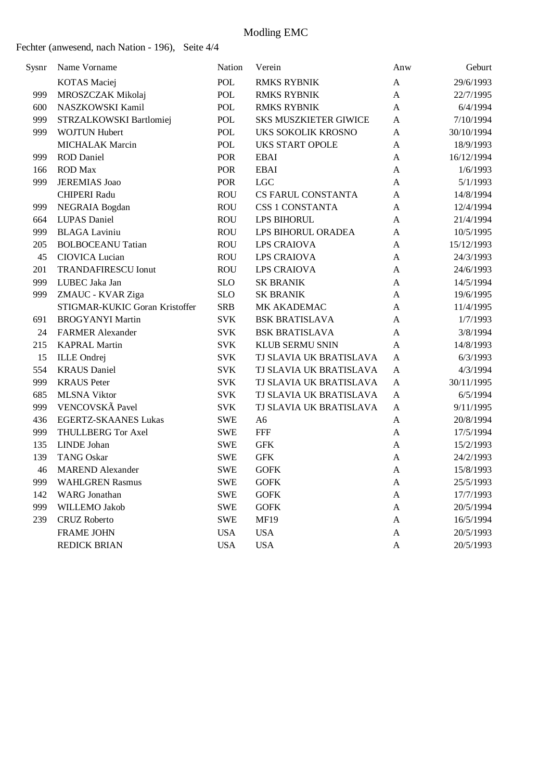| Sysnr | Name Vorname                   | Nation     | Verein                       | Anw          | Geburt     |
|-------|--------------------------------|------------|------------------------------|--------------|------------|
|       | <b>KOTAS</b> Maciej            | <b>POL</b> | <b>RMKS RYBNIK</b>           | $\mathbf{A}$ | 29/6/1993  |
| 999   | MROSZCZAK Mikolaj              | <b>POL</b> | <b>RMKS RYBNIK</b>           | A            | 22/7/1995  |
| 600   | NASZKOWSKI Kamil               | <b>POL</b> | <b>RMKS RYBNIK</b>           | A            | 6/4/1994   |
| 999   | STRZALKOWSKI Bartlomiej        | POL        | <b>SKS MUSZKIETER GIWICE</b> | A            | 7/10/1994  |
| 999   | <b>WOJTUN Hubert</b>           | POL        | UKS SOKOLIK KROSNO           | A            | 30/10/1994 |
|       | <b>MICHALAK Marcin</b>         | <b>POL</b> | <b>UKS START OPOLE</b>       | A            | 18/9/1993  |
| 999   | <b>ROD</b> Daniel              | <b>POR</b> | <b>EBAI</b>                  | A            | 16/12/1994 |
| 166   | <b>ROD</b> Max                 | POR        | <b>EBAI</b>                  | A            | 1/6/1993   |
| 999   | <b>JEREMIAS</b> Joao           | POR        | <b>LGC</b>                   | A            | 5/1/1993   |
|       | <b>CHIPERI Radu</b>            | <b>ROU</b> | CS FARUL CONSTANTA           | A            | 14/8/1994  |
| 999   | NEGRAIA Bogdan                 | <b>ROU</b> | <b>CSS 1 CONSTANTA</b>       | A            | 12/4/1994  |
| 664   | <b>LUPAS</b> Daniel            | <b>ROU</b> | LPS BIHORUL                  | $\mathbf{A}$ | 21/4/1994  |
| 999   | <b>BLAGA Laviniu</b>           | <b>ROU</b> | LPS BIHORUL ORADEA           | A            | 10/5/1995  |
| 205   | <b>BOLBOCEANU Tatian</b>       | <b>ROU</b> | <b>LPS CRAIOVA</b>           | A            | 15/12/1993 |
| 45    | CIOVICA Lucian                 | <b>ROU</b> | <b>LPS CRAIOVA</b>           | A            | 24/3/1993  |
| 201   | <b>TRANDAFIRESCU Ionut</b>     | <b>ROU</b> | <b>LPS CRAIOVA</b>           | A            | 24/6/1993  |
| 999   | LUBEC Jaka Jan                 | <b>SLO</b> | <b>SK BRANIK</b>             | A            | 14/5/1994  |
| 999   | ZMAUC - KVAR Ziga              | <b>SLO</b> | <b>SK BRANIK</b>             | A            | 19/6/1995  |
|       | STIGMAR-KUKIC Goran Kristoffer | <b>SRB</b> | MK AKADEMAC                  | A            | 11/4/1995  |
| 691   | <b>BROGYANYI Martin</b>        | <b>SVK</b> | <b>BSK BRATISLAVA</b>        | A            | 1/7/1993   |
| 24    | <b>FARMER Alexander</b>        | <b>SVK</b> | <b>BSK BRATISLAVA</b>        | A            | 3/8/1994   |
| 215   | <b>KAPRAL Martin</b>           | <b>SVK</b> | KLUB SERMU SNIN              | A            | 14/8/1993  |
| 15    | <b>ILLE</b> Ondrej             | <b>SVK</b> | TJ SLAVIA UK BRATISLAVA      | A            | 6/3/1993   |
| 554   | <b>KRAUS</b> Daniel            | <b>SVK</b> | TJ SLAVIA UK BRATISLAVA      | $\mathbf{A}$ | 4/3/1994   |
| 999   | <b>KRAUS</b> Peter             | <b>SVK</b> | TJ SLAVIA UK BRATISLAVA      | $\mathbf{A}$ | 30/11/1995 |
| 685   | <b>MLSNA Viktor</b>            | <b>SVK</b> | TJ SLAVIA UK BRATISLAVA      | A            | 6/5/1994   |
| 999   | VENCOVSKÃ Pavel                | <b>SVK</b> | TJ SLAVIA UK BRATISLAVA      | A            | 9/11/1995  |
| 436   | <b>EGERTZ-SKAANES Lukas</b>    | <b>SWE</b> | A <sub>6</sub>               | A            | 20/8/1994  |
| 999   | <b>THULLBERG Tor Axel</b>      | <b>SWE</b> | <b>FFF</b>                   | A            | 17/5/1994  |
| 135   | LINDE Johan                    | <b>SWE</b> | <b>GFK</b>                   | A            | 15/2/1993  |
| 139   | <b>TANG Oskar</b>              | <b>SWE</b> | <b>GFK</b>                   | A            | 24/2/1993  |
| 46    | <b>MAREND</b> Alexander        | <b>SWE</b> | <b>GOFK</b>                  | A            | 15/8/1993  |
| 999   | <b>WAHLGREN Rasmus</b>         | <b>SWE</b> | <b>GOFK</b>                  | A            | 25/5/1993  |
| 142   | <b>WARG</b> Jonathan           | <b>SWE</b> | <b>GOFK</b>                  | A            | 17/7/1993  |
| 999   | WILLEMO Jakob                  | <b>SWE</b> | <b>GOFK</b>                  | A            | 20/5/1994  |
| 239   | <b>CRUZ Roberto</b>            | <b>SWE</b> | <b>MF19</b>                  | A            | 16/5/1994  |
|       | <b>FRAME JOHN</b>              | <b>USA</b> | <b>USA</b>                   | A            | 20/5/1993  |
|       | <b>REDICK BRIAN</b>            | <b>USA</b> | <b>USA</b>                   | A            | 20/5/1993  |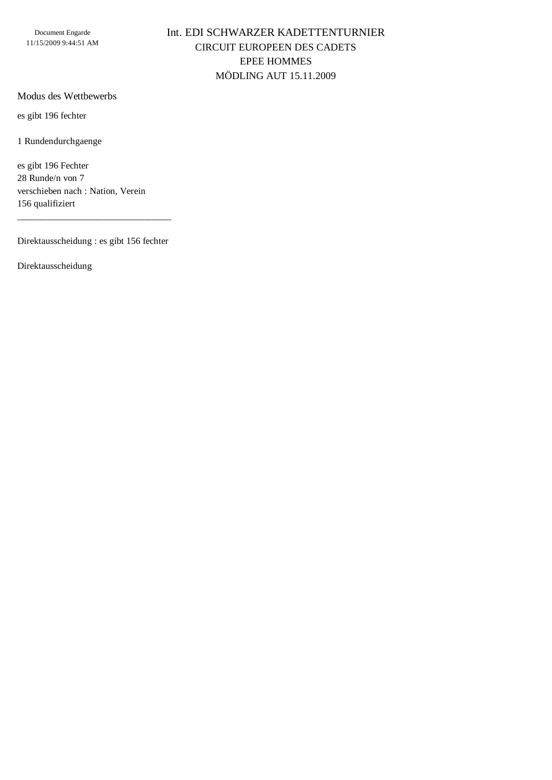Document Engarde 11/15/2009 9:44:51 AM

### Int. EDI SCHWARZER KADETTENTURNIER CIRCUIT EUROPEEN DES CADETS EPEE HOMMES MÖDLING AUT 15.11.2009

#### Modus des Wettbewerbs

es gibt 196 fechter

1 Rundendurchgaenge

es gibt 196 Fechter 28 Runde/n von 7 verschieben nach : Nation, Verein 156 qualifiziert

Direktausscheidung : es gibt 156 fechter

\_\_\_\_\_\_\_\_\_\_\_\_\_\_\_\_\_\_\_\_\_\_\_\_\_\_\_\_\_\_\_\_\_

Direktausscheidung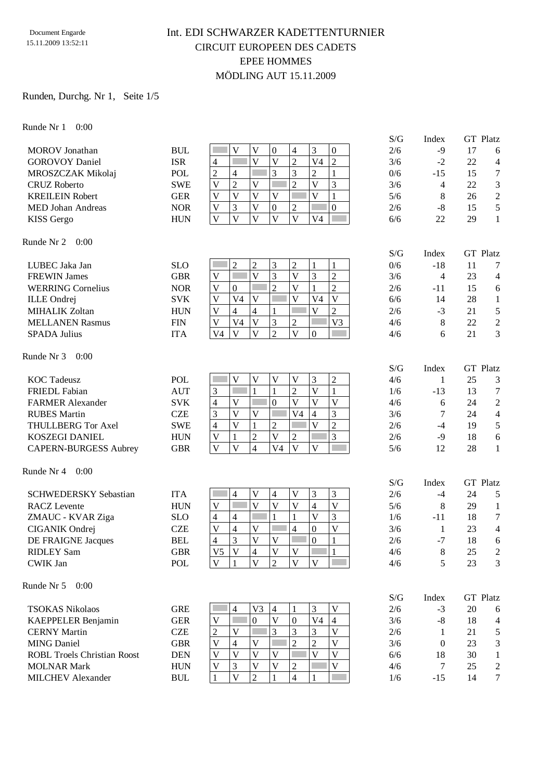#### Document Engarde 15.11.2009 13:52:11

### Int. EDI SCHWARZER KADETTENTURNIER CIRCUIT EUROPEEN DES CADETS EPEE HOMMES MÖDLING AUT 15.11.2009

#### Runden, Durchg. Nr 1, Seite 1/5

Runde Nr 1 0:00

|                                    |            |                                                                                                                                | S/G | Index          | <b>GT</b> Platz      |
|------------------------------------|------------|--------------------------------------------------------------------------------------------------------------------------------|-----|----------------|----------------------|
| <b>MOROV</b> Jonathan              | <b>BUL</b> | 3<br>V<br>V<br>$\boldsymbol{0}$<br>$\overline{4}$<br>$\boldsymbol{0}$                                                          | 2/6 | $-9$           | 17<br>6              |
| <b>GOROVOY Daniel</b>              | <b>ISR</b> | $\overline{2}$<br>$\overline{4}$<br>$\overline{V}$<br>$\overline{V}$<br>$\overline{2}$<br>V <sub>4</sub>                       | 3/6 | $-2$           | 22<br>$\overline{4}$ |
| MROSZCZAK Mikolaj                  | <b>POL</b> | 3<br>3<br>$\overline{c}$<br>$\overline{2}$<br>Г<br>$\mathbf{1}$<br>$\overline{4}$                                              | 0/6 | $-15$          | $\tau$<br>15         |
| <b>CRUZ Roberto</b>                | <b>SWE</b> | $\overline{2}$<br>$\overline{2}$<br>3<br>$\overline{\mathsf{V}}$<br>$\overline{\mathbf{V}}$<br>$\overline{V}$                  | 3/6 | $\overline{4}$ | $\mathfrak{Z}$<br>22 |
| <b>KREILEIN Robert</b>             | <b>GER</b> | $\overline{V}$<br>$\overline{\mathsf{V}}$<br>$\overline{V}$<br>F<br>V<br>V<br>$\mathbf{1}$                                     | 5/6 | 8              | $\sqrt{2}$<br>26     |
| <b>MED Johan Andreas</b>           | <b>NOR</b> | 3<br>$\overline{\mathsf{V}}$<br>$\overline{2}$<br>$\boldsymbol{0}$<br>$\mathbf V$<br>$\boldsymbol{0}$                          | 2/6 | $-8$           | 5<br>15              |
| KISS Gergo                         | <b>HUN</b> | $\overline{\mathsf{V}}$<br>$\overline{V}$<br>$\overline{\mathsf{V}}$<br>$\overline{V}$<br>$\mathbf V$<br>V <sub>4</sub>        | 6/6 | 22             | $\mathbf{1}$<br>29   |
| Runde Nr 2<br>0:00                 |            |                                                                                                                                |     |                |                      |
|                                    |            |                                                                                                                                | S/G | Index          | <b>GT</b> Platz      |
| LUBEC Jaka Jan                     | <b>SLO</b> | $\overline{c}$<br>3<br>$\mathfrak{2}$<br>$\overline{c}$<br>1<br>1<br>$\overline{V}$<br>П                                       | 0/6 | $-18$          | 11<br>7              |
| <b>FREWIN James</b>                | <b>GBR</b> | 3<br>$\overline{3}$<br>$\overline{V}$<br>$\overline{c}$<br>$\overline{V}$                                                      | 3/6 | $\overline{4}$ | 23<br>$\overline{4}$ |
| <b>WERRING Cornelius</b>           | <b>NOR</b> | $\overline{2}$<br>$\overline{V}$<br>$\overline{c}$<br>$\mathbf{1}$<br>$\mathbf V$<br>$\boldsymbol{0}$                          | 2/6 | $-11$          | 15<br>$\sqrt{6}$     |
| <b>ILLE</b> Ondrej                 | <b>SVK</b> | $\overline{\mathsf{V}}$<br>$\overline{V}$<br>$\mathbf V$<br>V <sub>4</sub><br>$\mathbf V$<br>V <sub>4</sub>                    | 6/6 | 14             | 28<br>$\mathbf{1}$   |
| <b>MIHALIK Zoltan</b>              | <b>HUN</b> | $\overline{\mathsf{V}}$<br>$\overline{c}$<br>V<br>$\overline{4}$<br>4<br>1<br>r.                                               | 2/6 | $-3$           | $\sqrt{5}$<br>21     |
| <b>MELLANEN Rasmus</b>             | <b>FIN</b> | 3<br>$\overline{\mathsf{V}}$<br>V3<br>V <sub>4</sub><br>$\overline{2}$<br>$\ensuremath{\mathsf{V}}$                            | 4/6 | 8              | $\sqrt{2}$<br>22     |
| <b>SPADA Julius</b>                | <b>ITA</b> | $\overline{2}$<br>$\overline{V}$<br>$\mathbf{V}$<br>$\mathbf{V}$<br>V <sub>4</sub><br>$\overline{0}$                           | 4/6 | 6              | 21<br>3              |
| Runde Nr 3<br>0:00                 |            |                                                                                                                                | S/G | Index          | <b>GT</b> Platz      |
| <b>KOC</b> Tadeusz                 | POL        | $\overline{V}$<br>$\mathbf{V}$<br>3<br>$\overline{c}$<br>V<br>$\mathbf V$                                                      | 4/6 | 1              | 25<br>3              |
| <b>FRIEDL</b> Fabian               | <b>AUT</b> | $\mathbf{1}$<br>$\sqrt{2}$<br>$\overline{\mathsf{V}}$<br>3<br>$\mathbf{1}$<br>k.<br>$\mathbf{1}$                               | 1/6 | $-13$          | $\tau$<br>13         |
| <b>FARMER Alexander</b>            | <b>SVK</b> | $\overline{V}$<br>$\overline{V}$<br>$\overline{\mathsf{V}}$<br>$\overline{V}$<br>$\mathbf{0}$<br>$\overline{4}$<br>П           | 4/6 | 6              | $\sqrt{2}$<br>24     |
| <b>RUBES Martin</b>                | <b>CZE</b> | 3<br>$\overline{4}$<br>3<br>$\mathbf V$<br>$\mathbf V$<br>V <sub>4</sub>                                                       | 3/6 | 7              | $\overline{4}$<br>24 |
| <b>THULLBERG Tor Axel</b>          | <b>SWE</b> | $\overline{c}$<br>$\mathbf{1}$<br>$\overline{V}$<br>$\overline{2}$<br>$\overline{\mathbf{V}}$<br>$\overline{4}$                | 2/6 | $-4$           | $\sqrt{5}$<br>19     |
| <b>KOSZEGI DANIEL</b>              | <b>HUN</b> | $\overline{2}$<br>3<br>$\overline{V}$<br>$\overline{2}$<br>$\mathbf V$<br>$\mathbf{1}$                                         | 2/6 | $-9$           | 6<br>18              |
| <b>CAPERN-BURGESS Aubrey</b>       | <b>GBR</b> | $\overline{4}$<br>$\overline{V}$<br>$\mathbf V$<br>$\overline{V}$<br>V <sub>4</sub><br>$\overline{\mathbf{V}}$                 | 5/6 | 12             | 28<br>$\mathbf{1}$   |
| Runde Nr 4<br>0:00                 |            |                                                                                                                                |     |                |                      |
|                                    |            |                                                                                                                                | S/G | Index          | GT Platz             |
| <b>SCHWEDERSKY Sebastian</b>       | <b>ITA</b> | 3<br>3<br>4<br>V<br>4<br>V                                                                                                     | 2/6 | $-4$           | 24<br>5              |
| <b>RACZ</b> Levente                | <b>HUN</b> | $\overline{\mathsf{V}}$<br>$\overline{\mathsf{V}}$<br>$\mathbf V$<br>$\overline{\mathsf{V}}$<br>$\mathbf{V}$<br>$\overline{4}$ | 5/6 | 8              | 29<br>1              |
| ZMAUC - KVAR Ziga                  | <b>SLO</b> | $\mathbf{1}$<br>$\overline{V}$<br>3<br>$\overline{4}$<br>$\overline{4}$<br>$\mathbf{1}$                                        | 1/6 | $-11$          | $\tau$<br>18         |
| CIGANIK Ondrej                     | <b>CZE</b> | $\overline{4}$<br>$\overline{\mathsf{V}}$<br>$\overline{\mathsf{V}}$<br>$\overline{4}$<br>V<br>$\overline{0}$                  | 3/6 | 1              | $\overline{4}$<br>23 |
| <b>DE FRAIGNE Jacques</b>          | <b>BEL</b> | 3<br>$\overline{4}$<br>$\overline{\mathsf{V}}$<br>$\overline{0}$<br>V<br>$\mathbf{1}$                                          | 2/6 | $-7$           | 18<br>6              |
| <b>RIDLEY Sam</b>                  | <b>GBR</b> | V<br>V5<br>$\mathbf{V}$<br>$\overline{4}$<br>V<br>1                                                                            | 4/6 | 8              | 25<br>$\overline{2}$ |
| <b>CWIK Jan</b>                    | POL        | $\overline{V}$<br>$\overline{\mathbf{V}}$<br>$\mathbf{V}$<br>$\overline{2}$<br>$\mathbf{V}$<br>$\mathbf{1}$                    | 4/6 | 5              | 23<br>3              |
| Runde Nr 5<br>0:00                 |            |                                                                                                                                |     |                |                      |
|                                    |            |                                                                                                                                | S/G | Index          | <b>GT</b> Platz      |
| <b>TSOKAS Nikolaos</b>             | <b>GRE</b> | 3<br>$\overline{4}$<br>V <sub>3</sub><br>4<br>$\mathbf V$<br>1                                                                 | 2/6 | $-3$           | 20<br>6              |
| KAEPPELER Benjamin                 | <b>GER</b> | $\overline{\mathsf{V}}$<br>$\mathbf{0}$<br>$\boldsymbol{0}$<br>V <sub>4</sub><br>$\overline{4}$<br>$\mathbf V$                 | 3/6 | $-8$           | 18<br>$\overline{4}$ |
| <b>CERNY Martin</b>                | <b>CZE</b> | $\overline{c}$<br>3<br>3<br>$\overline{\mathsf{V}}$<br>3<br>V                                                                  | 2/6 | 1              | 21<br>5              |
| <b>MING Daniel</b>                 | <b>GBR</b> | $\overline{c}$<br>$\overline{c}$<br>$\mathbf V$<br>$\mathbf V$<br>V<br>$\overline{4}$                                          | 3/6 | $\Omega$       | 3<br>23              |
| <b>ROBL Troels Christian Roost</b> | <b>DEN</b> | $\overline{\mathsf{V}}$<br>V<br>$\mathbf{V}$<br>$\mathbf V$<br>V<br>V                                                          | 6/6 | 18             | 30<br>$\mathbf{1}$   |
| <b>MOLNAR Mark</b>                 | <b>HUN</b> | $\overline{\mathsf{V}}$<br>$\sqrt{2}$<br>V<br>V<br>3<br>V                                                                      | 4/6 | 7              | 25<br>$\overline{c}$ |
| <b>MILCHEV</b> Alexander           | <b>BUL</b> | $\mathbf{V}$<br>$\overline{2}$<br>$\overline{4}$<br>1<br>1<br>1                                                                | 1/6 | $-15$          | $\tau$<br>14         |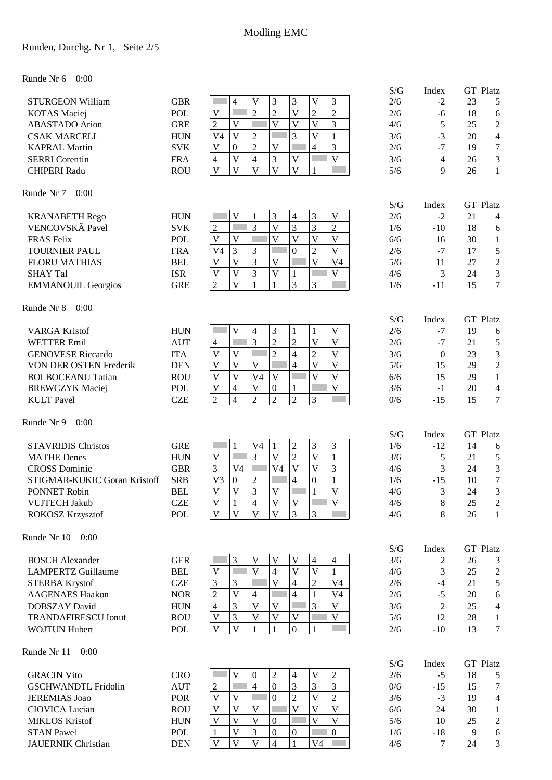### Runden, Durchg. Nr 1, Seite 2/5

#### Runde Nr 6 0:00

|                              |            |                                                                                                                           | S/G            | Index                    |    | GT Platz                |
|------------------------------|------------|---------------------------------------------------------------------------------------------------------------------------|----------------|--------------------------|----|-------------------------|
| <b>STURGEON William</b>      | <b>GBR</b> | 3<br>3<br>4<br>$\mathbf V$<br>3<br>V                                                                                      | 2/6            | $-2$                     | 23 | 5                       |
| <b>KOTAS</b> Maciej          | <b>POL</b> | $\overline{2}$<br>$\overline{c}$<br>$\overline{2}$<br>$\mathbf{V}$<br>$\overline{2}$<br>$\mathbf V$                       | 2/6            | $-6$                     | 18 | 6                       |
| <b>ABASTADO</b> Arion        | <b>GRE</b> | 3<br>$\overline{c}$<br>$\overline{V}$<br>$\overline{\mathsf{V}}$<br>$\mathbf{V}$<br>$\overline{\mathsf{V}}$<br>П          | 4/6            | 5                        | 25 | $\overline{c}$          |
| <b>CSAK MARCELL</b>          | <b>HUN</b> | 3<br>$\overline{V}$<br>$\overline{2}$<br>$\overline{\mathsf{V}}$<br>$\mathbf{1}$<br>V <sub>4</sub>                        | 3/6            | $-3$                     | 20 | 4                       |
| <b>KAPRAL Martin</b>         | <b>SVK</b> | $\overline{2}$<br>3<br>$\overline{\mathsf{V}}$<br>$\overline{4}$<br>$\bar{V}$<br>$\boldsymbol{0}$                         | 2/6            | $-7$                     | 19 | 7                       |
| <b>SERRI</b> Corentin        | <b>FRA</b> | 3<br>$\overline{\mathsf{V}}$<br>$\mathbf V$<br>$\overline{\mathcal{L}}$<br>$\mathbf{V}$<br>4                              | 3/6            | $\overline{\mathcal{A}}$ | 26 | 3                       |
| <b>CHIPERI Radu</b>          | <b>ROU</b> | $\overline{\mathsf{V}}$<br>$\overline{V}$<br>$\overline{V}$<br>$\overline{V}$<br>$\mathbf V$<br>1                         | 5/6            | 9                        | 26 | $\mathbf{1}$            |
| Runde Nr 7<br>0:00           |            |                                                                                                                           | S/G            | Index                    |    | <b>GT</b> Platz         |
| <b>KRANABETH Rego</b>        | <b>HUN</b> | 3<br>$\mathbf V$<br>V<br>1<br>3<br>$\overline{\mathcal{A}}$                                                               | 2/6            | $-2$                     | 21 | 4                       |
| VENCOVSKÃ Pavel              | <b>SVK</b> | 3<br>$\overline{3}$<br>3<br>$\overline{c}$<br>$\overline{\mathsf{V}}$<br>$\overline{c}$                                   | 1/6            | $-10$                    | 18 | 6                       |
| <b>FRAS Felix</b>            | <b>POL</b> | $\overline{\mathsf{V}}$<br>$\overline{\mathsf{V}}$<br>$\overline{V}$<br>$\overline{V}$<br>$\mathbf{V}$<br>$\mathbf V$     | 6/6            | 16                       | 30 | $\mathbf{1}$            |
| <b>TOURNIER PAUL</b>         | <b>FRA</b> | $\overline{V}$<br>3<br>3<br>$\mathbf{0}$<br>$\overline{2}$<br>V <sub>4</sub>                                              | 2/6            | $-7$                     | 17 | 5                       |
| <b>FLORU MATHIAS</b>         | <b>BEL</b> | 3<br>$\overline{\mathsf{V}}$<br>$\mathbf{V}$<br>$\mathbf V$<br>V<br>V <sub>4</sub>                                        | 5/6            | 11                       | 27 | $\overline{2}$          |
| <b>SHAY Tal</b>              | <b>ISR</b> | $\overline{3}$<br>$\mathbf{V}$<br>$\mathbf V$<br>$\mathbf V$<br>$\mathbf V$                                               | 4/6            | 3                        | 24 | 3                       |
| <b>EMMANOUIL Georgios</b>    | <b>GRE</b> | $\overline{3}$<br>$\mathbf{1}$<br>$\overline{2}$<br>$\overline{\mathsf{V}}$<br>$\mathbf{1}$<br>3                          | 1/6            | $-11$                    | 15 | $\tau$                  |
| Runde Nr 8<br>0:00           |            |                                                                                                                           |                |                          |    |                         |
| <b>VARGA Kristof</b>         | <b>HUN</b> | 3<br>$\mathbf{V}$<br>$\overline{\mathcal{L}}$<br>$\mathbf{1}$<br>$\mathbf V$<br>1                                         | S/G<br>2/6     | Index<br>$-7$            | 19 | GT Platz<br>6           |
| <b>WETTER Emil</b>           | <b>AUT</b> | $\overline{3}$<br>$\overline{2}$<br>$\overline{2}$<br>$\overline{V}$<br>$\overline{V}$<br>4                               | 2/6            | $-7$                     | 21 | 5                       |
| <b>GENOVESE Riccardo</b>     | <b>ITA</b> | $\overline{2}$<br>$\overline{\mathsf{V}}$<br>$\overline{4}$<br>$\sqrt{2}$<br>V<br>$\mathbf V$                             | 3/6            | $\mathbf{0}$             | 23 | 3                       |
| VON DER OSTEN Frederik       | <b>DEN</b> | $\overline{\mathsf{V}}$<br>$\overline{V}$<br>$\overline{V}$<br>$\overline{4}$<br>$\mathbf V$<br>$\mathbf V$               | 5/6            | 15                       | 29 | $\overline{2}$          |
| <b>BOLBOCEANU Tatian</b>     | <b>ROU</b> | $\overline{\mathbf{V}}$<br>$\overline{V}$<br>$\overline{V}$<br>V <sub>4</sub><br>$\mathbf V$<br>$\mathbf V$               | 6/6            | 15                       | 29 | $\mathbf{1}$            |
| <b>BREWCZYK Maciej</b>       | <b>POL</b> | $\overline{V}$<br>$\overline{V}$<br>$\ensuremath{\mathsf{V}}$<br>$\overline{4}$<br>$\boldsymbol{0}$<br>$\mathbf{1}$       | 3/6            | $-1$                     | 20 | $\overline{\mathbf{4}}$ |
| <b>KULT</b> Pavel            | <b>CZE</b> | $\overline{2}$<br>$\overline{2}$<br>$\overline{c}$<br>$\overline{2}$<br>3<br>$\overline{4}$                               | 0/6            | $-15$                    | 15 | $\tau$                  |
| Runde Nr 9<br>0:00           |            |                                                                                                                           |                |                          |    |                         |
| <b>STAVRIDIS Christos</b>    | <b>GRE</b> | 3<br>3<br>V <sub>4</sub><br>$\mathbf{1}$                                                                                  | S/G<br>1/6     | Index<br>$-12$           | 14 | <b>GT</b> Platz         |
| <b>MATHE Denes</b>           | <b>HUN</b> | $\mathfrak{2}$<br>1<br>$\overline{2}$<br>3<br>$\overline{\mathsf{V}}$<br>$\overline{\mathbf{V}}$<br>$\mathbf{1}$<br>V     | 3/6            |                          | 21 | 6                       |
| <b>CROSS Dominic</b>         | <b>GBR</b> | $\mathbf{V}$<br>$\overline{\mathbf{V}}$<br>3<br>3<br>V <sub>4</sub><br>V <sub>4</sub>                                     | 4/6            | 5<br>3                   | 24 | 5<br>3                  |
| STIGMAR-KUKIC Goran Kristoff | <b>SRB</b> | V <sub>3</sub><br>$\overline{2}$<br>$\mathbf{1}$<br>$\boldsymbol{0}$<br>$\overline{4}$<br>$\boldsymbol{0}$                | 1/6            | $-15$                    | 10 | $\boldsymbol{7}$        |
| PONNET Robin                 | <b>BEL</b> | 3<br>$\overline{\mathbf{V}}$<br>$\overline{\mathsf{V}}$<br>V<br>V<br>1                                                    | 4/6            | 3                        | 24 | 3                       |
| <b>VUJTECH Jakub</b>         | <b>CZE</b> | $\mathbf V$<br>4<br>V<br>V<br>V<br>1                                                                                      | 4/6            | $8\,$                    | 25 | $\overline{c}$          |
| ROKOSZ Krzysztof             | <b>POL</b> | 3<br>$\overline{V}$<br>$\overline{V}$<br>$\mathbf{V}$<br>$\overline{\mathbf{V}}$<br>3                                     | 4/6            | 8                        | 26 | $\mathbf{1}$            |
| 0:00<br>Runde Nr 10          |            |                                                                                                                           |                |                          |    |                         |
|                              |            |                                                                                                                           | $\mathrm{S/G}$ | Index                    |    | <b>GT</b> Platz         |
| <b>BOSCH</b> Alexander       | <b>GER</b> | 3<br>$\mathbf{V}$<br>$\mathbf V$<br>V<br>4<br>4                                                                           | 3/6            | 2                        | 26 | 3                       |
| <b>LAMPERTZ Guillaume</b>    | <b>BEL</b> | $\overline{V}$<br>$\mathbf V$<br>$\overline{\mathsf{V}}$<br>$\mathbf{1}$<br>4<br>$\mathbf V$                              | 4/6            | 3                        | 25 | $\mathfrak{2}$          |
| <b>STERBA Krystof</b>        | <b>CZE</b> | 3<br>$\overline{\mathsf{V}}$<br>$\overline{4}$<br>$\overline{2}$<br>3<br>V <sub>4</sub>                                   | 2/6            | $-4$                     | 21 | 5                       |
| <b>AAGENAES Haakon</b>       | <b>NOR</b> | $\overline{4}$<br>$\overline{2}$<br>$\overline{\mathsf{V}}$<br>$\overline{\mathcal{L}}$<br>$\mathbf{1}$<br>V <sub>4</sub> | 2/6            | $-5$                     | 20 | 6                       |
| DOBSZAY David                | <b>HUN</b> | $\overline{3}$<br>$\mathfrak{Z}$<br>$\overline{\mathsf{V}}$<br>$\overline{V}$<br>$\mathbf V$<br>4                         | 3/6            | 2                        | 25 | 4                       |
| <b>TRANDAFIRESCU Ionut</b>   | <b>ROU</b> | 3<br>$\mathbf V$<br>$\mathbf{V}$<br>$\mathbf V$<br>$\mathbf V$<br>V                                                       | 5/6            | 12                       | 28 | $\mathbf{1}$            |
| <b>WOJTUN Hubert</b>         | POL        | $\mathbf{0}$<br>$\mathbf V$<br>V<br>$\mathbf{1}$<br>1<br>1                                                                | 2/6            | $-10$                    | 13 | 7                       |
| Runde Nr 11<br>0:00          |            |                                                                                                                           | S/G            | Index                    |    | GT Platz                |
| <b>GRACIN Vito</b>           | <b>CRO</b> | $\mathbf V$<br>V<br>$\overline{c}$<br>$\boldsymbol{0}$<br>$\overline{c}$<br>$\overline{4}$                                | 2/6            | $-5$                     | 18 | 5                       |
| <b>GSCHWANDTL Fridolin</b>   | <b>AUT</b> | 3<br>3<br>3<br>$\overline{4}$<br>$\overline{c}$<br>$\mathbf{0}$                                                           | 0/6            | $-15$                    | 15 | 7                       |
| <b>JEREMIAS</b> Joao         | <b>POR</b> | $\overline{c}$<br>$\overline{c}$<br>$\overline{V}$<br>V<br>V<br>$\mathbf{0}$                                              | 3/6            | $-3$                     | 19 | 4                       |
| <b>CIOVICA Lucian</b>        | <b>ROU</b> | $\mathbf{V}$<br>$\overline{V}$<br>$\mathbf V$<br>V<br>V<br>V                                                              | 6/6            | 24                       | 30 | $\mathbf{1}$            |
| <b>MIKLOS Kristof</b>        | <b>HUN</b> | $\overline{\mathsf{V}}$<br>$\overline{V}$<br>$\overline{\mathbf{V}}$<br>$\mathbf V$<br>V<br>$\overline{0}$                | 5/6            | 10                       | 25 | $\overline{c}$          |
| <b>STAN Pawel</b>            | POL        | 3<br>$\mathbf{0}$<br>$\overline{\mathsf{V}}$<br>$\mathbf{1}$<br>$\overline{0}$<br>$\overline{0}$                          | 1/6            | $-18$                    | 9  | 6                       |
| <b>JAUERNIK Christian</b>    | <b>DEN</b> | $\overline{V}$<br>$\overline{V}$<br>$\overline{V}$<br>$\overline{4}$<br>V <sub>4</sub>                                    | 4/6            | 7                        | 24 | 3                       |
|                              |            |                                                                                                                           |                |                          |    |                         |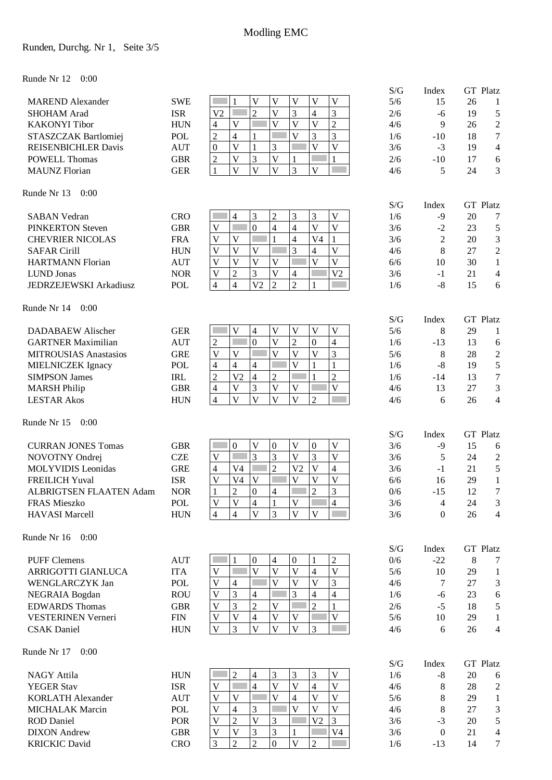### Runden, Durchg. Nr 1, Seite 3/5

#### Runde Nr 12 0:00

|                                             |            |                                                                                                                                 | S/G        | Index            |    | GT Platz                 |
|---------------------------------------------|------------|---------------------------------------------------------------------------------------------------------------------------------|------------|------------------|----|--------------------------|
| <b>MAREND</b> Alexander                     | <b>SWE</b> | $\mathbf V$<br>$\mathbf V$<br>$\mathbf{V}$<br>$\mathbf V$<br>V<br>1                                                             | 5/6        | 15               | 26 | 1                        |
| <b>SHOHAM Arad</b>                          | <b>ISR</b> | $\overline{2}$<br>$\overline{V}$<br>3<br>3<br>V <sub>2</sub><br>4                                                               | 2/6        | $-6$             | 19 | 5                        |
| <b>KAKONYI</b> Tibor                        | <b>HUN</b> | $\overline{c}$<br>$\overline{\mathsf{V}}$<br>$\overline{V}$<br>$\overline{\mathsf{V}}$<br>V<br>$\overline{\mathcal{A}}$         | 4/6        | 9                | 26 | $\overline{c}$           |
| STASZCZAK Bartlomiej                        | <b>POL</b> | 3<br>$\overline{c}$<br>$\overline{V}$<br>3<br>$\overline{4}$<br>$\mathbf{1}$                                                    | 1/6        | $-10$            | 18 | 7                        |
| <b>REISENBICHLER Davis</b>                  | <b>AUT</b> | $\overline{\mathsf{V}}$<br>$\mathbf V$<br>$\overline{\mathbf{V}}$<br>3<br>$\mathbf{1}$<br>$\boldsymbol{0}$                      | 3/6        | $-3$             | 19 | 4                        |
| <b>POWELL Thomas</b>                        | <b>GBR</b> | 3<br>$\overline{V}$<br>$\overline{\mathsf{V}}$<br>$\overline{c}$<br>$\mathbf{1}$<br>$\mathbf{1}$                                | 2/6        | $-10$            | 17 | 6                        |
| <b>MAUNZ</b> Florian                        | <b>GER</b> | $\overline{V}$<br>$\overline{V}$<br>3<br>V<br>$\overline{\mathsf{V}}$<br>1                                                      | 4/6        | 5                | 24 | 3                        |
| Runde Nr 13<br>0:00                         |            |                                                                                                                                 | S/G        | Index            |    | <b>GT</b> Platz          |
| <b>SABAN Vedran</b>                         | <b>CRO</b> | 3<br>$\overline{c}$<br>3<br>$\overline{4}$<br>3<br>V                                                                            | 1/6        | $-9$             | 20 | 7                        |
| <b>PINKERTON Steven</b>                     | <b>GBR</b> | $\overline{V}$<br>$\overline{0}$<br>$\overline{\mathbf{4}}$<br>$\overline{V}$<br>Г<br>$\overline{\mathbf{4}}$<br>$\mathbf V$    | 3/6        | $-2$             | 23 | 5                        |
| <b>CHEVRIER NICOLAS</b>                     | <b>FRA</b> | $\overline{4}$<br>$\mathbf{V}$<br>V<br>1<br>V <sub>4</sub><br>1                                                                 | 3/6        | $\overline{2}$   | 20 | $\mathfrak{Z}$           |
| <b>SAFAR Cirill</b>                         | <b>HUN</b> | 3<br>$\overline{V}$<br>$\mathbf V$<br>$\mathbf{V}$<br>V<br>4                                                                    | 4/6        | 8                | 27 | $\sqrt{2}$               |
| <b>HARTMANN Florian</b>                     | <b>AUT</b> | $\overline{V}$<br>$\mathbf{V}$<br>$\mathbf{V}$<br>$\mathbf V$<br>$\mathbf V$<br>V                                               | 6/6        | 10               | 30 | $\mathbf{1}$             |
| <b>LUND Jonas</b>                           | <b>NOR</b> | $\overline{2}$<br>3<br>$\mathbf V$<br>V <sub>2</sub><br>$\mathbf V$<br>4                                                        | 3/6        | $-1$             | 21 | $\overline{\mathcal{A}}$ |
| <b>JEDRZEJEWSKI Arkadiusz</b>               | <b>POL</b> | $\overline{2}$<br>$\overline{2}$<br>$\overline{4}$<br>V <sub>2</sub><br>$\overline{4}$                                          | 1/6        | $-8$             | 15 | 6                        |
| Runde Nr 14<br>0:00                         |            |                                                                                                                                 | S/G        | Index            |    | <b>GT</b> Platz          |
| <b>DADABAEW Alischer</b>                    | <b>GER</b> | $\mathbf{V}$<br>4<br>$\mathbf V$<br>$\mathbf V$<br>$\overline{\mathsf{V}}$<br>V<br>k.                                           | 5/6        | 8                | 29 | 1                        |
| <b>GARTNER Maximilian</b>                   | <b>AUT</b> | $\overline{0}$<br>$\overline{2}$<br>$\overline{2}$<br>F<br>$\overline{\mathsf{V}}$<br>$\overline{4}$<br>$\boldsymbol{0}$        | 1/6        | $-13$            | 13 | 6                        |
| <b>MITROUSIAS Anastasios</b>                | <b>GRE</b> | $\overline{\mathsf{V}}$<br>3<br>$\mathbf{V}$<br>$\overline{V}$<br>$\overline{V}$<br>$\mathbf V$                                 | 5/6        | 8                | 28 | $\overline{2}$           |
| MIELNICZEK Ignacy                           | <b>POL</b> | $\overline{4}$<br>$\overline{4}$<br>$\overline{V}$<br>$\mathbf{1}$<br>4                                                         | 1/6        | $-8$             | 19 | 5                        |
| <b>SIMPSON James</b>                        | <b>IRL</b> | $\overline{4}$<br>$\overline{2}$<br>$\overline{c}$<br>V <sub>2</sub><br>$\overline{2}$                                          | 1/6        | $-14$            | 13 | $\tau$                   |
| <b>MARSH Philip</b>                         | <b>GBR</b> | $\overline{3}$<br>$\overline{V}$<br>$\mathbf{V}$<br>$\overline{V}$<br>$\overline{V}$<br>$\overline{4}$                          | 4/6        | 13               | 27 | 3                        |
| <b>LESTAR Akos</b>                          | <b>HUN</b> | $\overline{V}$<br>V<br>$\mathbf{V}$<br>V<br>$\overline{4}$<br>$\overline{c}$                                                    | 4/6        | 6                | 26 | $\overline{\mathcal{L}}$ |
| Runde Nr 15<br>0:00                         |            |                                                                                                                                 |            |                  |    |                          |
| <b>CURRAN JONES Tomas</b>                   | <b>GBR</b> | $\boldsymbol{0}$<br>$\mathbf V$<br>$\mathbf V$<br>$\mathbf V$<br>$\boldsymbol{0}$<br>$\boldsymbol{0}$                           | S/G<br>3/6 | Index            | 15 | <b>GT</b> Platz          |
|                                             | <b>CZE</b> | 3<br>3<br>3<br>$\mathbf V$<br>$\mathbf V$<br>V                                                                                  | 3/6        | $-9$<br>5        | 24 | 6                        |
| NOVOTNY Ondrej<br><b>MOLYVIDIS</b> Leonidas | <b>GRE</b> | $\overline{2}$<br>V <sub>2</sub><br>$\overline{V}$<br>$\overline{4}$<br>V <sub>4</sub><br>$\overline{4}$                        | 3/6        | $-1$             | 21 | $\overline{c}$<br>5      |
| <b>FREILICH Yuval</b>                       | <b>ISR</b> | $\overline{\mathsf{V}}$<br>$\overline{\mathsf{V}}$<br>$\overline{V}$<br>$\overline{V}$<br>V <sub>4</sub><br>$\mathbf V$         | 6/6        | 16               | 29 | $\mathbf{1}$             |
| ALBRIGTSEN FLAATEN Adam                     | <b>NOR</b> | 3<br>$\overline{2}$<br>$\overline{2}$<br>$\boldsymbol{0}$<br>4                                                                  | 0/6        | $-15$            | 12 | 7                        |
| FRAS Mieszko                                | <b>POL</b> | $\mathbf V$<br>$\overline{\mathcal{A}}$<br>$\mathbf V$<br>V<br>1<br>$\overline{4}$                                              | 3/6        | $\overline{4}$   | 24 | 3                        |
| <b>HAVASI Marcell</b>                       | <b>HUN</b> | $\overline{V}$<br>$\overline{V}$<br>3<br>$\overline{4}$<br>$\overline{4}$<br>$\mathbf{V}$                                       | 3/6        | $\overline{0}$   | 26 | 4                        |
| 0:00<br>Runde Nr 16                         |            |                                                                                                                                 |            |                  |    |                          |
|                                             |            |                                                                                                                                 | S/G        | Index            |    | GT Platz                 |
| <b>PUFF Clemens</b>                         | <b>AUT</b> | $\overline{2}$<br>$\boldsymbol{0}$<br>$\boldsymbol{0}$<br>4<br>1                                                                | 0/6        | $-22$            | 8  | $\tau$                   |
| ARRIGOTTI GIANLUCA                          | <b>ITA</b> | $\overline{V}$<br>$\overline{V}$<br>V<br>$\mathbf V$<br>$\mathbf{V}$<br>$\overline{\mathcal{L}}$                                | 5/6        | 10               | 29 | $\mathbf{1}$             |
| <b>WENGLARCZYK Jan</b>                      | <b>POL</b> | 3<br>$\overline{\mathbf{V}}$<br>$\overline{V}$<br>$\overline{V}$<br>$\mathbf{V}$<br>$\overline{4}$                              | 4/6        | 7                | 27 | 3                        |
| NEGRAIA Bogdan                              | <b>ROU</b> | 3<br>3<br>V<br>$\overline{4}$<br>4<br>4                                                                                         | 1/6        | $-6$             | 23 | 6                        |
| <b>EDWARDS</b> Thomas                       | <b>GBR</b> | 3<br>$\overline{c}$<br>$\overline{c}$<br>$\mathbf{V}$<br>V<br>1<br>V<br>V                                                       | 2/6        | $-5$             | 18 | 5                        |
| <b>VESTERINEN Verneri</b>                   | <b>FIN</b> | $\overline{\mathcal{L}}$<br>V<br>V<br>V                                                                                         | 5/6        | 10               | 29 | $\mathbf{1}$             |
| <b>CSAK</b> Daniel                          | <b>HUN</b> | $\overline{V}$<br>$\mathbf V$<br>3<br>$\mathbf{V}$<br>V<br>3                                                                    | 4/6        | 6                | 26 | 4                        |
| Runde Nr 17<br>0:00                         |            |                                                                                                                                 | S/G        | Index            |    | GT Platz                 |
| <b>NAGY Attila</b>                          | <b>HUN</b> | $\overline{2}$<br>3<br>r.<br>4<br>3<br>3<br>V                                                                                   | 1/6        | $-8$             | 20 | 6                        |
| <b>YEGER Stav</b>                           | <b>ISR</b> | $\overline{4}$<br>$\overline{\mathsf{V}}$<br>$\overline{V}$<br>$\overline{V}$<br>$\mathbf V$<br>T.<br>$\overline{\mathbf{4}}$   | 4/6        | 8                | 28 | $\overline{c}$           |
| <b>KORLATH Alexander</b>                    | <b>AUT</b> | $\overline{\mathbf{V}}$<br>$\overline{V}$<br>$\overline{\mathsf{V}}$<br>$\mathbf{V}$<br>$\mathbf{V}$<br>$\overline{\mathbf{4}}$ | 5/6        | 8                | 29 | $\mathbf{1}$             |
| <b>MICHALAK Marcin</b>                      | POL        | $\overline{V}$<br>3<br>V<br>$\mathbf V$<br>V<br>4                                                                               | 4/6        | 8                | 27 | 3                        |
| <b>ROD</b> Daniel                           | POR        | $\overline{2}$<br>$\overline{3}$<br>$\overline{V}$<br>$\mathbf V$<br>3<br>V <sub>2</sub>                                        | 3/6        | $-3$             | 20 | 5                        |
| <b>DIXON</b> Andrew                         | <b>GBR</b> | 3<br>3<br>V<br>V <sub>4</sub><br>V<br>1                                                                                         | 3/6        | $\boldsymbol{0}$ | 21 | $\overline{4}$           |
| <b>KRICKIC David</b>                        | <b>CRO</b> | $\overline{2}$<br>$\overline{2}$<br>$\overline{V}$<br>3<br>$\overline{0}$<br>$\overline{2}$                                     | 1/6        | $-13$            | 14 | 7                        |
|                                             |            |                                                                                                                                 |            |                  |    |                          |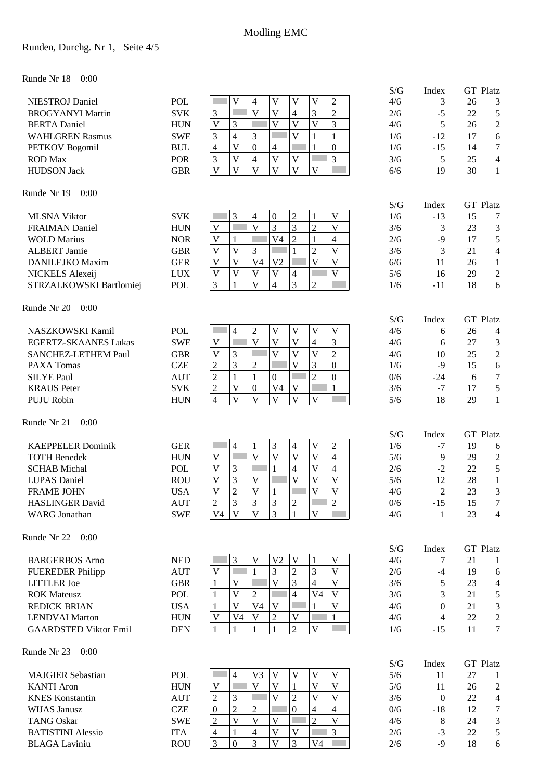### Runden, Durchg. Nr 1, Seite 4/5

#### Runde Nr 18 0:00

|                                                       |                          |                                                                                                                                     | S/G        | Index                   |          | GT Platz                          |
|-------------------------------------------------------|--------------------------|-------------------------------------------------------------------------------------------------------------------------------------|------------|-------------------------|----------|-----------------------------------|
| <b>NIESTROJ</b> Daniel                                | <b>POL</b>               | V<br>$\overline{V}$<br>$\overline{\mathsf{V}}$<br>$\overline{c}$<br>$\mathbf V$<br>4                                                | 4/6        | 3                       | 26       | 3                                 |
| <b>BROGYANYI Martin</b>                               | <b>SVK</b>               | $\overline{V}$<br>$\overline{2}$<br>$\overline{V}$<br>3<br>$\overline{4}$<br>3                                                      | 2/6        | $-5$                    | 22       | 5                                 |
| <b>BERTA</b> Daniel                                   | <b>HUN</b>               | $\overline{V}$<br>$\overline{V}$<br>3<br>3<br>$\overline{\mathsf{V}}$<br>$\overline{\mathsf{V}}$                                    | 4/6        | 5                       | 26       | $\overline{c}$                    |
| <b>WAHLGREN Rasmus</b>                                | <b>SWE</b>               | 3<br>V<br>$\mathbf{1}$<br>3<br>4<br>1                                                                                               | 1/6        | $-12$                   | 17       | 6                                 |
| <b>PETKOV</b> Bogomil                                 | <b>BUL</b>               | $\boldsymbol{0}$<br>$\mathbf{1}$<br>$\boldsymbol{0}$<br>V<br>$\overline{\mathcal{A}}$<br>4                                          | 1/6        | $-15$                   | 14       | $\tau$                            |
| <b>ROD</b> Max                                        | <b>POR</b>               | 3<br>$\overline{\mathsf{V}}$<br>$\overline{4}$<br>$\overline{V}$<br>$\mathbf V$<br>3                                                | 3/6        | 5                       | 25       | $\overline{4}$                    |
| <b>HUDSON Jack</b>                                    | <b>GBR</b>               | $\overline{V}$<br>$\overline{V}$<br>$\mathbf V$<br>$\overline{\mathbf{V}}$<br>$\overline{V}$<br>$\overline{\mathbf{V}}$             | 6/6        | 19                      | 30       | $\mathbf{1}$                      |
| Runde Nr 19<br>0:00                                   |                          |                                                                                                                                     | S/G        | Index                   |          | GT Platz                          |
| <b>MLSNA Viktor</b>                                   | <b>SVK</b>               | 3<br>$\overline{c}$<br>$\overline{4}$<br>$\boldsymbol{0}$<br>V<br>1                                                                 | 1/6        | $-13$                   | 15       | $\tau$                            |
| <b>FRAIMAN Daniel</b>                                 | <b>HUN</b>               | $\overline{V}$<br>3<br>3<br>$\overline{2}$<br>$\overline{\mathbf{V}}$<br>$\ensuremath{\mathsf{V}}$                                  | 3/6        | 3                       | 23       | 3                                 |
| <b>WOLD Marius</b>                                    | <b>NOR</b>               | $\overline{2}$<br>V <sub>4</sub><br>$\overline{4}$<br>V<br>1<br>1                                                                   | 2/6        | $-9$                    | 17       | 5                                 |
| <b>ALBERT Jamie</b>                                   | <b>GBR</b>               | $\overline{2}$<br>$\overline{\mathbf{V}}$<br>$\overline{\mathsf{V}}$<br>$\mathbf V$<br>3<br>1                                       | 3/6        | 3                       | 21       | $\overline{4}$                    |
| <b>DANILEJKO Maxim</b>                                | <b>GER</b>               | V <sub>4</sub><br>$\overline{\mathbf{V}}$<br>$\mathbf{V}$<br>V<br>V<br>V <sub>2</sub>                                               | 6/6        | 11                      | 26       | $\mathbf{1}$                      |
| NICKELS Alexeij                                       | <b>LUX</b>               | $\overline{V}$<br>$\overline{V}$<br>$\mathbf V$<br>$\mathbf V$<br>$\mathbf V$<br>4                                                  | 5/6        | 16                      | 29       | $\overline{c}$                    |
| STRZALKOWSKI Bartlomiej                               | <b>POL</b>               | $\overline{V}$<br>3<br>3<br>$\overline{4}$<br>$\overline{c}$<br>1                                                                   | 1/6        | $-11$                   | 18       | 6                                 |
| Runde Nr 20<br>0:00                                   |                          |                                                                                                                                     |            |                         |          |                                   |
| NASZKOWSKI Kamil                                      | POL                      | $\overline{c}$<br>$\overline{V}$<br>$\mathbf V$<br>$\mathbf V$<br>$\overline{\mathsf{V}}$<br>4                                      | S/G<br>4/6 | Index<br>6              | 26       | <b>GT</b> Platz<br>$\overline{4}$ |
| <b>EGERTZ-SKAANES Lukas</b>                           | <b>SWE</b>               | $\overline{\mathsf{V}}$<br>$\overline{3}$<br>$\overline{\mathsf{V}}$<br>$\mathbf{V}$<br>$\overline{4}$<br>V                         | 4/6        | 6                       | 27       | 3                                 |
| <b>SANCHEZ-LETHEM Paul</b>                            | <b>GBR</b>               | $\overline{2}$<br>$\overline{V}$<br>$\overline{V}$<br>3<br>$\overline{V}$<br>$\overline{\mathsf{V}}$                                | 4/6        | 10                      | 25       | $\sqrt{2}$                        |
| PAXA Tomas                                            | <b>CZE</b>               | $\overline{\mathbf{V}}$<br>3<br>3<br>$\overline{0}$<br>$\overline{c}$<br>$\overline{c}$                                             | 1/6        | $-9$                    | 15       | 6                                 |
| <b>SILYE Paul</b>                                     | <b>AUT</b>               | $\overline{2}$<br>$\overline{2}$<br>$\mathbf{0}$<br>$\mathbf{1}$<br>$\mathbf{1}$<br>$\overline{0}$                                  | 0/6        | $-24$                   | 6        | $\tau$                            |
| <b>KRAUS</b> Peter                                    | <b>SVK</b>               | $\overline{\mathsf{V}}$<br>$\mathbf{1}$<br>$\boldsymbol{0}$<br>$\mathbf{V}$<br>$\overline{c}$<br>V <sub>4</sub>                     | 3/6        | $-7$                    | 17       | 5                                 |
| <b>PUJU Robin</b>                                     | <b>HUN</b>               | $\overline{V}$<br>$\overline{\mathsf{V}}$<br>$\overline{\mathbf{V}}$<br>$\mathbf{V}$<br>$\overline{\mathsf{V}}$<br>$\overline{4}$   | 5/6        | 18                      | 29       | $\mathbf{1}$                      |
| Runde Nr 21<br>0:00                                   |                          |                                                                                                                                     |            |                         |          |                                   |
| <b>KAEPPELER Dominik</b>                              | <b>GER</b>               | $\boldsymbol{2}$<br>$\overline{4}$<br>3<br>$\overline{\mathbf{4}}$<br>V<br>1                                                        | S/G<br>1/6 | Index<br>$-7$           | 19       | GT Platz                          |
| <b>TOTH Benedek</b>                                   | <b>HUN</b>               | $\overline{\mathsf{V}}$<br>$\overline{\mathsf{V}}$<br>$\mathbf{V}$<br>$\overline{V}$<br>$\overline{4}$<br>$\ensuremath{\mathsf{V}}$ | 5/6        | 9                       | 29       | 6<br>$\overline{c}$               |
| <b>SCHAB</b> Michal                                   | POL                      | П<br>3<br>$\mathbf V$<br>$\overline{4}$<br>V<br>4                                                                                   | 2/6        | $-2$                    | 22       | $\mathfrak s$                     |
| <b>LUPAS</b> Daniel                                   | <b>ROU</b>               | 3<br>$\mathbf{V}$<br>$\mathbf V$<br>$\mathbf{V}$<br>$\overline{\mathsf{V}}$<br>$\mathbf V$                                          | 5/6        | 12                      | 28       | $\mathbf{1}$                      |
| <b>FRAME JOHN</b>                                     | <b>USA</b>               | $\overline{\mathsf{V}}$<br>$\overline{\mathsf{V}}$<br>$\overline{V}$<br>$\overline{V}$<br>$\overline{2}$                            | 4/6        | $\overline{2}$          | 23       | 3                                 |
| <b>HASLINGER David</b>                                | <b>AUT</b>               | $\overline{2}$<br>$\overline{c}$<br>3<br>3<br>3<br>$\overline{2}$                                                                   | 0/6        | $-15$                   | 15       | 7                                 |
| <b>WARG</b> Jonathan                                  | <b>SWE</b>               | $\overline{V}$<br>$\overline{V}$<br>3<br>1<br>$\mathbf{V}$<br>V4                                                                    | 4/6        | $\mathbf{1}$            | 23       | $\overline{4}$                    |
| Runde Nr 22<br>0:00                                   |                          |                                                                                                                                     |            |                         |          |                                   |
|                                                       |                          |                                                                                                                                     | S/G        | Index                   |          | GT Platz                          |
| <b>BARGERBOS Arno</b>                                 | <b>NED</b>               | 3<br>$\mathbf V$<br>V <sub>2</sub><br>V<br>$\mathbf V$<br>1                                                                         | 4/6        | 7                       | 21       | $\mathbf{1}$                      |
| <b>FUEREDER Philipp</b>                               | <b>AUT</b>               | $\overline{c}$<br>3<br>$\mathbf{1}$<br>$\mathbf{V}$<br>3<br>V                                                                       | 2/6        | $-4$                    | 19       | 6                                 |
| <b>LITTLER</b> Joe                                    | <b>GBR</b>               | 3<br>$\overline{\mathsf{V}}$<br>$\mathbf{V}$<br>$\overline{4}$<br>V<br>1                                                            | 3/6        | 5                       | 23       | $\overline{4}$                    |
| <b>ROK Mateusz</b>                                    | POL                      | $\overline{4}$<br>$\overline{c}$<br>V<br>V <sub>4</sub><br>V<br>1                                                                   | 3/6        | 3                       | 21       | 5                                 |
| <b>REDICK BRIAN</b>                                   | <b>USA</b>               | V <sub>4</sub><br>$\mathbf V$<br>1<br>V<br>V<br>1                                                                                   | 4/6        | $\theta$                | 21       | 3                                 |
| <b>LENDVAI Marton</b><br><b>GAARDSTED Viktor Emil</b> | <b>HUN</b><br><b>DEN</b> | $\mathbf V$<br>V<br>V <sub>4</sub><br>$\mathbf V$<br>2<br>$\mathbf{1}$<br>$\overline{2}$<br>$\mathbf V$<br>$\mathbf{1}$<br>1<br>1   | 4/6<br>1/6 | $\overline{4}$<br>$-15$ | 22<br>11 | $\mathbf{2}$<br>$\tau$            |
|                                                       |                          |                                                                                                                                     |            |                         |          |                                   |
| Runde Nr 23<br>0:00                                   |                          |                                                                                                                                     | S/G        | Index                   |          | GT Platz                          |
| <b>MAJGIER Sebastian</b>                              | POL                      | $\mathbf{V}$<br>V3<br>$\mathbf V$<br>$\mathbf V$<br>$\mathbf V$<br>$\overline{4}$                                                   | 5/6        | 11                      | 27       | $\mathbf{1}$                      |
| <b>KANTI</b> Aron                                     | <b>HUN</b>               | $\overline{\mathsf{V}}$<br>$\overline{V}$<br>$\mathbf{V}$<br>V<br>$\mathbf V$<br>1                                                  | 5/6        | 11                      | 26       | $\overline{c}$                    |
| <b>KNES</b> Konstantin                                | <b>AUT</b>               | $\overline{2}$<br>$\mathbf V$<br>V<br>V<br>$\overline{c}$<br>3                                                                      | 3/6        | $\boldsymbol{0}$        | 22       | $\overline{4}$                    |
| <b>WIJAS Janusz</b>                                   | <b>CZE</b>               | $\overline{0}$<br>$\overline{2}$<br>$\overline{4}$<br>$\overline{c}$<br>$\overline{4}$<br>0                                         | 0/6        | $-18$                   | 12       | $\tau$                            |
| <b>TANG Oskar</b>                                     | <b>SWE</b>               | $\overline{2}$<br>$\overline{\mathbf{V}}$<br>$\overline{2}$<br>$\overline{V}$<br>$\overline{\mathbf{V}}$<br>$\overline{V}$          | 4/6        | 8                       | 24       | 3                                 |
| <b>BATISTINI Alessio</b>                              | <b>ITA</b>               | 3<br>$\overline{4}$<br>$\mathbf V$<br>V<br>$\overline{\mathcal{A}}$<br>1                                                            | 2/6        | $-3$                    | 22       | 5                                 |
| <b>BLAGA Laviniu</b>                                  | <b>ROU</b>               | 3<br>$\overline{3}$<br>3<br>$\overline{V}$<br>$\mathbf{0}$<br>V <sub>4</sub>                                                        | 2/6        | $-9$                    | 18       | $\sqrt{6}$                        |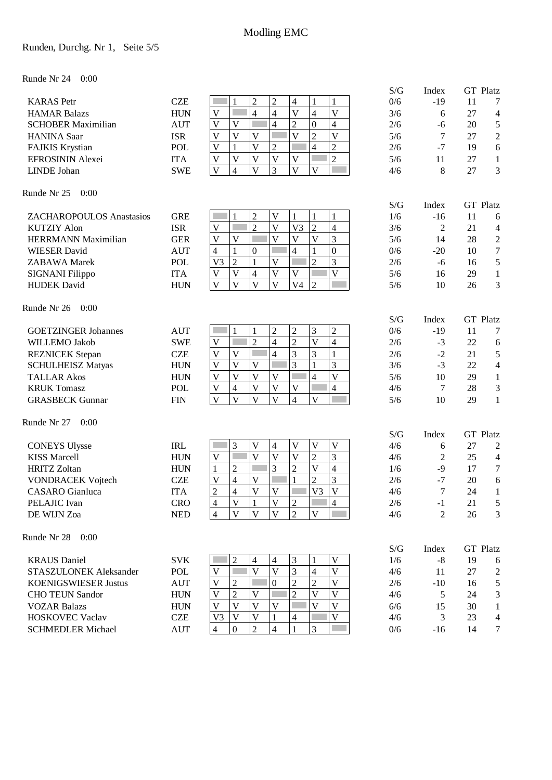### Runden, Durchg. Nr 1, Seite 5/5

Runde Nr 24 0:00

|                             |                             |                                                                                                                                              | S/G        | Index          | <b>GT</b> Platz                         |
|-----------------------------|-----------------------------|----------------------------------------------------------------------------------------------------------------------------------------------|------------|----------------|-----------------------------------------|
| <b>KARAS</b> Petr           | <b>CZE</b>                  | $\overline{2}$<br>$\overline{c}$<br>$\overline{4}$<br>$\mathbf{1}$<br>1<br>$\mathbf{1}$                                                      | 0/6        | $-19$          | 11<br>7                                 |
| <b>HAMAR Balazs</b>         | <b>HUN</b>                  | $\overline{4}$<br>$\overline{V}$<br>$\overline{V}$<br>$\overline{\mathcal{L}}$<br>$\overline{4}$<br>$\mathbf V$                              | 3/6        | 6              | 27<br>$\overline{4}$                    |
| <b>SCHOBER Maximilian</b>   | <b>AUT</b>                  | $\overline{\mathbf{4}}$<br>$\overline{2}$<br>$\mathbf V$<br>$\boldsymbol{0}$<br>$\mathbf V$<br>4                                             | 2/6        | $-6$           | $\mathfrak s$<br>20                     |
| <b>HANINA</b> Saar          | <b>ISR</b>                  | $\overline{V}$<br>$\overline{2}$<br>$\overline{\mathsf{V}}$<br>$\mathbf V$<br>$\mathbf V$<br>V                                               | 5/6        | 7              | $\sqrt{2}$<br>27                        |
| <b>FAJKIS Krystian</b>      | <b>POL</b>                  | $\overline{\mathbf{V}}$<br>$\overline{c}$<br>$\overline{4}$<br>$\overline{2}$<br>$\mathbf V$<br>$\mathbf{1}$                                 | 2/6        | $-7$           | $\sqrt{6}$<br>19                        |
| EFROSININ Alexei            | <b>ITA</b>                  | $\overline{2}$<br>$\mathbf V$<br>V<br>$\mathbf V$<br>$\overline{\mathsf{V}}$<br>$\mathbf V$                                                  | 5/6        | 11             | 27<br>$\mathbf{1}$                      |
| LINDE Johan                 | <b>SWE</b>                  | $\overline{\mathsf{V}}$<br>$\overline{\mathbf{V}}$<br>3<br>$\overline{\mathbf{V}}$<br>$\overline{\mathbf{V}}$<br>4                           | 4/6        | 8              | 3<br>27                                 |
| Runde Nr 25<br>0:00         |                             |                                                                                                                                              |            |                |                                         |
|                             |                             |                                                                                                                                              | S/G        | Index          | <b>GT</b> Platz                         |
| ZACHAROPOULOS Anastasios    | <b>GRE</b>                  | $\overline{2}$<br>$\mathbf V$<br>1<br>$\mathbf{1}$<br>$\mathbf{1}$                                                                           | 1/6        | $-16$          | 11<br>6                                 |
| <b>KUTZIY Alon</b>          | <b>ISR</b>                  | $\overline{2}$<br>$\overline{c}$<br>$\overline{\mathsf{V}}$<br>V <sub>3</sub><br>$\overline{4}$<br>$\mathbf V$                               | 3/6        | 2              | 21<br>$\overline{4}$                    |
| <b>HERRMANN Maximilian</b>  | <b>GER</b>                  | 3<br>V<br>$\mathbf{V}$<br>$\overline{\mathbf{V}}$<br>$\mathbf V$<br>V                                                                        | 5/6        | 14             | $\boldsymbol{2}$<br>28                  |
| <b>WIESER</b> David         | <b>AUT</b>                  | $\boldsymbol{0}$<br>$\overline{4}$<br>4<br>1<br>$\boldsymbol{0}$<br>1                                                                        | 0/6        | $-20$          | $\boldsymbol{7}$<br>10                  |
| <b>ZABAWA</b> Marek         | POL                         | $\overline{2}$<br>$\overline{2}$<br>3<br>V <sub>3</sub><br>$\mathbf{1}$<br>$\mathbf V$<br>Г                                                  | 2/6        | $-6$           | $\mathfrak s$<br>16                     |
| <b>SIGNANI Filippo</b>      | <b>ITA</b>                  | $\overline{\mathsf{V}}$<br>$\overline{\mathsf{V}}$<br>$\overline{4}$<br>$\overline{\mathsf{V}}$<br>$\mathbf{V}$<br>$\ensuremath{\mathsf{V}}$ | 5/6        | 16             | 29<br>$\mathbf{1}$                      |
| <b>HUDEK</b> David          | <b>HUN</b>                  | $\overline{\mathsf{V}}$<br>$\overline{\mathsf{V}}$<br>$\overline{\mathsf{V}}$<br>$\mathbf V$<br>V <sub>4</sub><br>$\overline{2}$             | 5/6        | 10             | 3<br>26                                 |
| Runde Nr 26<br>0:00         |                             |                                                                                                                                              |            |                |                                         |
|                             |                             |                                                                                                                                              | S/G        | Index          | <b>GT</b> Platz                         |
| <b>GOETZINGER Johannes</b>  | <b>AUT</b>                  | $\overline{2}$<br>3<br>$\overline{2}$<br>$\overline{c}$<br>1<br>1                                                                            | 0/6        | $-19$          | 11<br>7                                 |
| WILLEMO Jakob               | <b>SWE</b>                  | $\overline{2}$<br>$\overline{4}$<br>$\overline{2}$<br>$\overline{V}$<br>$\overline{\mathbf{4}}$<br>$\mathbf V$<br>Г                          | 2/6        | $-3$           | 22<br>6                                 |
| <b>REZNICEK</b> Stepan      | <b>CZE</b>                  | $\mathfrak{Z}$<br>3<br>$\overline{V}$<br>$\overline{V}$<br>$\overline{4}$<br>$\mathbf{1}$                                                    | 2/6        | $-2$           | $\mathfrak s$<br>21                     |
| <b>SCHULHEISZ Matyas</b>    | <b>HUN</b>                  | 3<br>$\overline{V}$<br>3<br>$\mathbf V$<br>$\mathbf V$<br>$\mathbf{1}$                                                                       | 3/6        | $-3$           | 22<br>$\overline{4}$                    |
| <b>TALLAR Akos</b>          | <b>HUN</b>                  | $\overline{V}$<br>$\overline{V}$<br>F<br>$\overline{\mathsf{V}}$<br>$\mathbf V$<br>$\overline{V}$<br>$\overline{4}$                          | 5/6        | 10             | $\mathbf{1}$<br>29                      |
| <b>KRUK Tomasz</b>          | <b>POL</b>                  | $\overline{\mathsf{V}}$<br>$\overline{4}$<br>$\overline{\mathsf{V}}$<br>$\mathbf{V}$<br>$\overline{4}$<br>$\mathbf V$                        | 4/6        | $\tau$         | 28<br>$\mathfrak{Z}$                    |
| <b>GRASBECK Gunnar</b>      | <b>FIN</b>                  | $\overline{\mathbf{V}}$<br>$\overline{4}$<br>$\overline{V}$<br>V<br>$\overline{\mathsf{V}}$<br>$\overline{\mathsf{V}}$                       | 5/6        | 10             | 29<br>1                                 |
| Runde Nr 27<br>0:00         |                             |                                                                                                                                              |            |                |                                         |
| <b>CONEYS Ulysse</b>        | <b>IRL</b>                  | 3<br>$\mathbf V$<br>$\mathbf V$<br>V<br>4<br>V                                                                                               | S/G<br>4/6 | Index<br>6     | <b>GT</b> Platz<br>27<br>$\overline{2}$ |
| <b>KISS Marcell</b>         | <b>HUN</b>                  | $\overline{3}$<br>$\overline{V}$<br>$\overline{\mathsf{V}}$<br>$\overline{V}$<br>$\overline{2}$<br>$\ensuremath{\mathsf{V}}$                 | 4/6        | 2              | 25<br>$\overline{4}$                    |
| <b>HRITZ Zoltan</b>         | <b>HUN</b>                  | 3<br>$\overline{c}$<br>Г<br>$\overline{2}$<br>$\overline{\mathsf{V}}$<br>$\overline{4}$<br>1                                                 | 1/6        | $-9$           | $\boldsymbol{7}$<br>17                  |
| <b>VONDRACEK Vojtech</b>    | <b>CZE</b>                  | 3<br>$\mathbf{1}$<br>$\overline{2}$<br>$\mathbf V$<br>$\mathbf V$<br>4                                                                       | 2/6        | $-7$           | $\sqrt{6}$<br>20                        |
| <b>CASARO</b> Gianluca      | <b>ITA</b>                  | $\overline{V}$<br>$\overline{c}$<br>$\mathbf V$<br>V <sub>3</sub><br>$\overline{4}$<br>V                                                     | 4/6        | 7              | 24<br>$\mathbf{1}$                      |
| PELAJIC Ivan                | <b>CRO</b>                  | $\overline{2}$                                                                                                                               | 2/6        | $-1$           | 21<br>5                                 |
| DE WIJN Zoa                 | $\ensuremath{\mathsf{NED}}$ | V<br>V<br>4<br>4<br>$\overline{2}$<br>$\overline{4}$<br>V<br>$\mathbf{V}$<br>$\overline{\mathsf{V}}$<br>V                                    | 4/6        | $\overline{2}$ | 3<br>26                                 |
| Runde Nr 28<br>0:00         |                             |                                                                                                                                              |            |                |                                         |
|                             |                             |                                                                                                                                              | S/G        | Index          | <b>GT</b> Platz                         |
| <b>KRAUS</b> Daniel         | <b>SVK</b>                  | $\mathfrak{Z}$<br>$\mathfrak{2}$<br>V<br>$\overline{4}$<br>4<br>1                                                                            | 1/6        | $-8$           | 19<br>6                                 |
| STASZULONEK Aleksander      | POL                         | 3<br>$\overline{V}$<br>$\overline{V}$<br>$\overline{\mathsf{V}}$<br>$\mathbf V$<br>$\overline{4}$                                            | 4/6        | 11             | 27<br>$\overline{2}$                    |
| <b>KOENIGSWIESER Justus</b> | <b>AUT</b>                  | $\overline{2}$<br>$\overline{2}$<br>$\overline{2}$<br>$\mathbf V$<br>$\mathbf{0}$<br>V                                                       | 2/6        | $-10$          | $\mathfrak s$<br>16                     |
| <b>CHO TEUN Sandor</b>      | <b>HUN</b>                  | $\overline{2}$<br>$\overline{2}$<br>$\mathbf V$<br>$\mathbf V$<br>V<br>V                                                                     | 4/6        | 5              | $\mathfrak{Z}$<br>24                    |
| <b>VOZAR Balazs</b>         | <b>HUN</b>                  | $\overline{\mathbf{V}}$<br>$\mathbf{V}$<br>$\mathbf{V}$<br>V<br>V<br>V                                                                       | 6/6        | 15             | 30<br>1                                 |
| <b>HOSKOVEC Vaclav</b>      | <b>CZE</b>                  | $\overline{V}$<br>$\mathbf V$<br>V<br>$\overline{4}$<br>V <sub>3</sub>                                                                       | 4/6        | 3              | 23<br>$\overline{4}$                    |
| <b>SCHMEDLER Michael</b>    | <b>AUT</b>                  | $\overline{2}$<br>4<br>1<br>3<br>$\overline{4}$<br>$\Omega$                                                                                  | 0/6        | $-16$          | 14<br>$\tau$                            |
|                             |                             |                                                                                                                                              |            |                |                                         |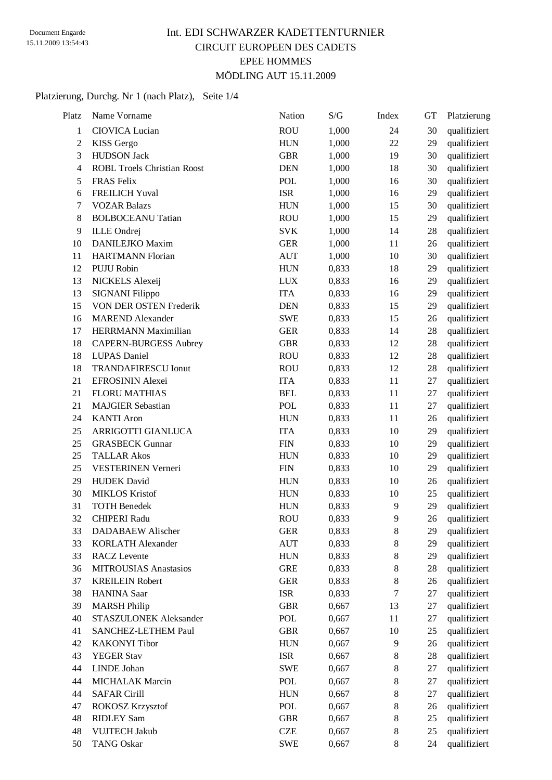### Int. EDI SCHWARZER KADETTENTURNIER CIRCUIT EUROPEEN DES CADETS EPEE HOMMES MÖDLING AUT 15.11.2009

#### Platzierung, Durchg. Nr 1 (nach Platz), Seite 1/4

| Name Vorname                       | Nation                                       | S/G                                                         | Index                                                       | <b>GT</b>                                                                          | Platzierung          |
|------------------------------------|----------------------------------------------|-------------------------------------------------------------|-------------------------------------------------------------|------------------------------------------------------------------------------------|----------------------|
| <b>CIOVICA Lucian</b>              | <b>ROU</b>                                   | 1,000                                                       | 24                                                          | 30                                                                                 | qualifiziert         |
| KISS Gergo                         | <b>HUN</b>                                   | 1,000                                                       | 22                                                          | 29                                                                                 | qualifiziert         |
| <b>HUDSON Jack</b>                 | <b>GBR</b>                                   | 1,000                                                       | 19                                                          | 30                                                                                 | qualifiziert         |
| <b>ROBL Troels Christian Roost</b> | <b>DEN</b>                                   | 1,000                                                       | 18                                                          | 30                                                                                 | qualifiziert         |
| <b>FRAS</b> Felix                  | <b>POL</b>                                   | 1,000                                                       | 16                                                          | 30                                                                                 | qualifiziert         |
| <b>FREILICH Yuval</b>              | <b>ISR</b>                                   | 1,000                                                       | 16                                                          | 29                                                                                 | qualifiziert         |
| <b>VOZAR Balazs</b>                | <b>HUN</b>                                   | 1,000                                                       | 15                                                          | 30                                                                                 | qualifiziert         |
| <b>BOLBOCEANU Tatian</b>           | <b>ROU</b>                                   | 1,000                                                       | 15                                                          | 29                                                                                 | qualifiziert         |
| <b>ILLE</b> Ondrej                 | <b>SVK</b>                                   | 1,000                                                       | 14                                                          | 28                                                                                 | qualifiziert         |
| DANILEJKO Maxim                    | <b>GER</b>                                   | 1,000                                                       | 11                                                          | 26                                                                                 | qualifiziert         |
| <b>HARTMANN Florian</b>            | <b>AUT</b>                                   | 1,000                                                       | 10                                                          | 30                                                                                 | qualifiziert         |
| PUJU Robin                         | <b>HUN</b>                                   | 0,833                                                       | 18                                                          | 29                                                                                 | qualifiziert         |
| NICKELS Alexeij                    | <b>LUX</b>                                   | 0,833                                                       | 16                                                          | 29                                                                                 | qualifiziert         |
| SIGNANI Filippo                    | <b>ITA</b>                                   | 0,833                                                       | 16                                                          | 29                                                                                 | qualifiziert         |
| VON DER OSTEN Frederik             | <b>DEN</b>                                   | 0,833                                                       | 15                                                          | 29                                                                                 | qualifiziert         |
| <b>MAREND</b> Alexander            | <b>SWE</b>                                   | 0,833                                                       | 15                                                          | 26                                                                                 | qualifiziert         |
| HERRMANN Maximilian                | <b>GER</b>                                   | 0,833                                                       | 14                                                          | 28                                                                                 | qualifiziert         |
| <b>CAPERN-BURGESS Aubrey</b>       | <b>GBR</b>                                   | 0,833                                                       | 12                                                          | 28                                                                                 | qualifiziert         |
| <b>LUPAS</b> Daniel                | <b>ROU</b>                                   | 0,833                                                       | 12                                                          | 28                                                                                 | qualifiziert         |
| <b>TRANDAFIRESCU Ionut</b>         | <b>ROU</b>                                   | 0,833                                                       | 12                                                          | 28                                                                                 | qualifiziert         |
| EFROSININ Alexei                   | <b>ITA</b>                                   | 0,833                                                       | 11                                                          | 27                                                                                 | qualifiziert         |
| <b>FLORU MATHIAS</b>               | <b>BEL</b>                                   | 0,833                                                       | 11                                                          | 27                                                                                 | qualifiziert         |
| <b>MAJGIER Sebastian</b>           | <b>POL</b>                                   | 0,833                                                       | 11                                                          | 27                                                                                 | qualifiziert         |
| <b>KANTI</b> Aron                  | <b>HUN</b>                                   | 0,833                                                       | 11                                                          | 26                                                                                 | qualifiziert         |
| ARRIGOTTI GIANLUCA                 | <b>ITA</b>                                   | 0,833                                                       | 10                                                          | 29                                                                                 | qualifiziert         |
| <b>GRASBECK Gunnar</b>             | <b>FIN</b>                                   | 0,833                                                       | 10                                                          | 29                                                                                 | qualifiziert         |
| <b>TALLAR Akos</b>                 | <b>HUN</b>                                   | 0,833                                                       | 10                                                          | 29                                                                                 | qualifiziert         |
| VESTERINEN Verneri                 | <b>FIN</b>                                   | 0,833                                                       | 10                                                          | 29                                                                                 | qualifiziert         |
| <b>HUDEK</b> David                 | <b>HUN</b>                                   | 0,833                                                       | 10                                                          | 26                                                                                 | qualifiziert         |
| <b>MIKLOS Kristof</b>              | <b>HUN</b>                                   | 0,833                                                       | 10                                                          | 25                                                                                 | qualifiziert         |
| <b>TOTH Benedek</b>                | <b>HUN</b>                                   | 0,833                                                       | 9                                                           | 29                                                                                 | qualifiziert         |
| <b>CHIPERI Radu</b>                | <b>ROU</b>                                   | 0,833                                                       | 9                                                           | 26                                                                                 | qualifiziert         |
| DADABAEW Alischer                  | <b>GER</b>                                   |                                                             |                                                             | 29                                                                                 | qualifiziert         |
| <b>KORLATH Alexander</b>           |                                              |                                                             | 8                                                           | 29                                                                                 | qualifiziert         |
| <b>RACZ</b> Levente                | <b>HUN</b>                                   | 0,833                                                       | 8                                                           | 29                                                                                 | qualifiziert         |
| <b>MITROUSIAS Anastasios</b>       | <b>GRE</b>                                   | 0,833                                                       | $8\,$                                                       | 28                                                                                 | qualifiziert         |
| <b>KREILEIN Robert</b>             | <b>GER</b>                                   | 0,833                                                       | $8\,$                                                       | 26                                                                                 | qualifiziert         |
| <b>HANINA</b> Saar                 | <b>ISR</b>                                   | 0,833                                                       | 7                                                           | 27                                                                                 | qualifiziert         |
| <b>MARSH Philip</b>                | <b>GBR</b>                                   | 0,667                                                       | 13                                                          | 27                                                                                 | qualifiziert         |
| STASZULONEK Aleksander             | POL                                          | 0,667                                                       |                                                             | 27                                                                                 | qualifiziert         |
| SANCHEZ-LETHEM Paul                |                                              |                                                             |                                                             |                                                                                    | qualifiziert         |
| <b>KAKONYI</b> Tibor               | <b>HUN</b>                                   |                                                             |                                                             | 26                                                                                 | qualifiziert         |
|                                    |                                              |                                                             |                                                             |                                                                                    | qualifiziert         |
|                                    |                                              |                                                             |                                                             |                                                                                    | qualifiziert         |
|                                    |                                              |                                                             |                                                             |                                                                                    | qualifiziert         |
| <b>SAFAR Cirill</b>                | <b>HUN</b>                                   | 0,667                                                       |                                                             | 27                                                                                 | qualifiziert         |
| <b>ROKOSZ Krzysztof</b>            | POL                                          | 0,667                                                       | $8\,$                                                       | 26                                                                                 | qualifiziert         |
| <b>RIDLEY Sam</b>                  | <b>GBR</b>                                   | 0,667                                                       | $8\,$                                                       | 25                                                                                 | qualifiziert         |
| <b>VUJTECH Jakub</b>               | <b>CZE</b>                                   | 0,667                                                       |                                                             | 25                                                                                 | qualifiziert         |
| <b>TANG Oskar</b>                  |                                              |                                                             | 8                                                           | 24                                                                                 | qualifiziert         |
|                                    | YEGER Stav<br>LINDE Johan<br>MICHALAK Marcin | <b>AUT</b><br><b>GBR</b><br><b>ISR</b><br><b>SWE</b><br>POL | 0,833<br>0,833<br>0,667<br>0,667<br>0,667<br>0,667<br>0,667 | 8<br>11<br>10<br>9<br>8<br>$8\,$<br>$8\,$<br>$8\,$<br>$8\,$<br><b>SWE</b><br>0,667 | 25<br>28<br>27<br>27 |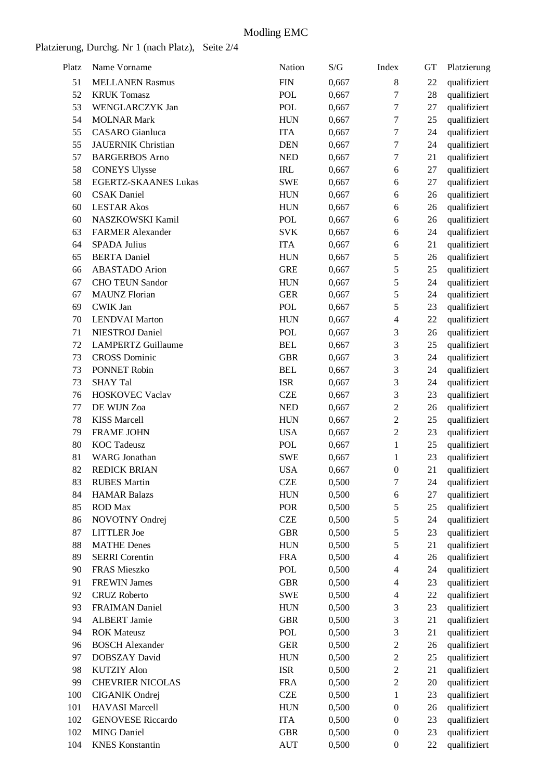## Platzierung, Durchg. Nr 1 (nach Platz), Seite 2/4

| Platz | Name Vorname                | Nation     | S/G   | Index            | <b>GT</b> | Platzierung  |
|-------|-----------------------------|------------|-------|------------------|-----------|--------------|
| 51    | <b>MELLANEN Rasmus</b>      | <b>FIN</b> | 0,667 | $\,$ 8 $\,$      | 22        | qualifiziert |
| 52    | <b>KRUK Tomasz</b>          | POL        | 0,667 | 7                | 28        | qualifiziert |
| 53    | WENGLARCZYK Jan             | <b>POL</b> | 0,667 | $\tau$           | 27        | qualifiziert |
| 54    | <b>MOLNAR Mark</b>          | <b>HUN</b> | 0,667 | $\tau$           | 25        | qualifiziert |
| 55    | <b>CASARO</b> Gianluca      | <b>ITA</b> | 0,667 | $\tau$           | 24        | qualifiziert |
| 55    | <b>JAUERNIK Christian</b>   | <b>DEN</b> | 0,667 | $\tau$           | 24        | qualifiziert |
| 57    | <b>BARGERBOS</b> Arno       | <b>NED</b> | 0,667 | $\tau$           | 21        | qualifiziert |
| 58    | <b>CONEYS Ulysse</b>        | <b>IRL</b> | 0,667 | 6                | 27        | qualifiziert |
| 58    | <b>EGERTZ-SKAANES Lukas</b> | <b>SWE</b> | 0,667 | 6                | 27        | qualifiziert |
| 60    | <b>CSAK</b> Daniel          | <b>HUN</b> | 0,667 | 6                | 26        | qualifiziert |
| 60    | <b>LESTAR Akos</b>          | <b>HUN</b> | 0,667 | 6                | 26        | qualifiziert |
| 60    | NASZKOWSKI Kamil            | <b>POL</b> | 0,667 | 6                | 26        | qualifiziert |
| 63    | <b>FARMER Alexander</b>     | <b>SVK</b> | 0,667 | 6                | 24        | qualifiziert |
| 64    | <b>SPADA Julius</b>         | <b>ITA</b> | 0,667 | 6                | 21        | qualifiziert |
| 65    | <b>BERTA</b> Daniel         | <b>HUN</b> | 0,667 | 5                | 26        | qualifiziert |
| 66    | <b>ABASTADO</b> Arion       | <b>GRE</b> | 0,667 | 5                | 25        | qualifiziert |
| 67    | <b>CHO TEUN Sandor</b>      | <b>HUN</b> | 0,667 | $\sqrt{5}$       | 24        | qualifiziert |
| 67    | <b>MAUNZ</b> Florian        | <b>GER</b> | 0,667 | $\sqrt{5}$       | 24        | qualifiziert |
| 69    | <b>CWIK Jan</b>             | <b>POL</b> | 0,667 | 5                | 23        | qualifiziert |
| 70    | <b>LENDVAI Marton</b>       | <b>HUN</b> | 0,667 | $\overline{4}$   | 22        | qualifiziert |
| 71    | <b>NIESTROJ</b> Daniel      | <b>POL</b> | 0,667 | $\mathfrak{Z}$   | 26        | qualifiziert |
| 72    | <b>LAMPERTZ Guillaume</b>   | <b>BEL</b> | 0,667 | 3                | 25        | qualifiziert |
| 73    | <b>CROSS Dominic</b>        | <b>GBR</b> | 0,667 | 3                | 24        | qualifiziert |
| 73    | PONNET Robin                | <b>BEL</b> | 0,667 | 3                | 24        | qualifiziert |
| 73    | <b>SHAY Tal</b>             | <b>ISR</b> | 0,667 | 3                | 24        | qualifiziert |
| 76    | <b>HOSKOVEC Vaclav</b>      | <b>CZE</b> | 0,667 | 3                | 23        | qualifiziert |
| 77    | DE WIJN Zoa                 | <b>NED</b> | 0,667 | $\overline{2}$   | 26        | qualifiziert |
| 78    | <b>KISS Marcell</b>         | <b>HUN</b> | 0,667 | $\overline{2}$   | 25        | qualifiziert |
| 79    | <b>FRAME JOHN</b>           | <b>USA</b> | 0,667 | $\overline{2}$   | 23        | qualifiziert |
| 80    | <b>KOC</b> Tadeusz          | <b>POL</b> | 0,667 | $\mathbf{1}$     | 25        | qualifiziert |
| 81    | <b>WARG</b> Jonathan        | <b>SWE</b> | 0,667 | 1                | 23        | qualifiziert |
| 82    | <b>REDICK BRIAN</b>         | <b>USA</b> | 0,667 | $\boldsymbol{0}$ | 21        | qualifiziert |
| 83    | <b>RUBES Martin</b>         | <b>CZE</b> | 0,500 | $\tau$           | 24        | qualifiziert |
| 84    | <b>HAMAR Balazs</b>         | <b>HUN</b> | 0,500 | 6                | 27        | qualifiziert |
| 85    | <b>ROD</b> Max              | POR        | 0,500 | $\sqrt{5}$       | 25        | qualifiziert |
| 86    | NOVOTNY Ondrej              | <b>CZE</b> | 0,500 | $\sqrt{5}$       | 24        | qualifiziert |
| 87    | <b>LITTLER</b> Joe          | <b>GBR</b> | 0,500 | $\sqrt{5}$       | 23        | qualifiziert |
| 88    | <b>MATHE Denes</b>          | <b>HUN</b> | 0,500 | $\sqrt{5}$       | 21        | qualifiziert |
| 89    | <b>SERRI</b> Corentin       | <b>FRA</b> | 0,500 | $\overline{4}$   | 26        | qualifiziert |
| 90    | FRAS Mieszko                | <b>POL</b> | 0,500 | $\overline{4}$   | 24        | qualifiziert |
| 91    | <b>FREWIN James</b>         | <b>GBR</b> | 0,500 | $\overline{4}$   | 23        | qualifiziert |
| 92    | <b>CRUZ Roberto</b>         | <b>SWE</b> | 0,500 | $\overline{4}$   | 22        | qualifiziert |
| 93    | <b>FRAIMAN Daniel</b>       | <b>HUN</b> | 0,500 | 3                | 23        | qualifiziert |
| 94    | <b>ALBERT Jamie</b>         | <b>GBR</b> | 0,500 | 3                | 21        | qualifiziert |
| 94    | <b>ROK Mateusz</b>          | POL        | 0,500 | $\mathfrak{Z}$   | 21        | qualifiziert |
| 96    | <b>BOSCH</b> Alexander      | <b>GER</b> | 0,500 | $\sqrt{2}$       | 26        | qualifiziert |
| 97    | DOBSZAY David               | <b>HUN</b> | 0,500 | $\boldsymbol{2}$ | 25        | qualifiziert |
| 98    | <b>KUTZIY Alon</b>          | <b>ISR</b> | 0,500 | $\boldsymbol{2}$ | 21        | qualifiziert |
| 99    | <b>CHEVRIER NICOLAS</b>     | <b>FRA</b> | 0,500 | $\boldsymbol{2}$ | 20        | qualifiziert |
| 100   | CIGANIK Ondrej              | <b>CZE</b> | 0,500 | 1                | 23        | qualifiziert |
| 101   | <b>HAVASI</b> Marcell       | <b>HUN</b> | 0,500 | $\boldsymbol{0}$ | 26        | qualifiziert |
| 102   | <b>GENOVESE Riccardo</b>    | <b>ITA</b> | 0,500 | $\boldsymbol{0}$ | 23        | qualifiziert |
| 102   | <b>MING Daniel</b>          | <b>GBR</b> | 0,500 | $\boldsymbol{0}$ | 23        | qualifiziert |
| 104   | <b>KNES</b> Konstantin      | <b>AUT</b> | 0,500 | $\boldsymbol{0}$ | 22        | qualifiziert |
|       |                             |            |       |                  |           |              |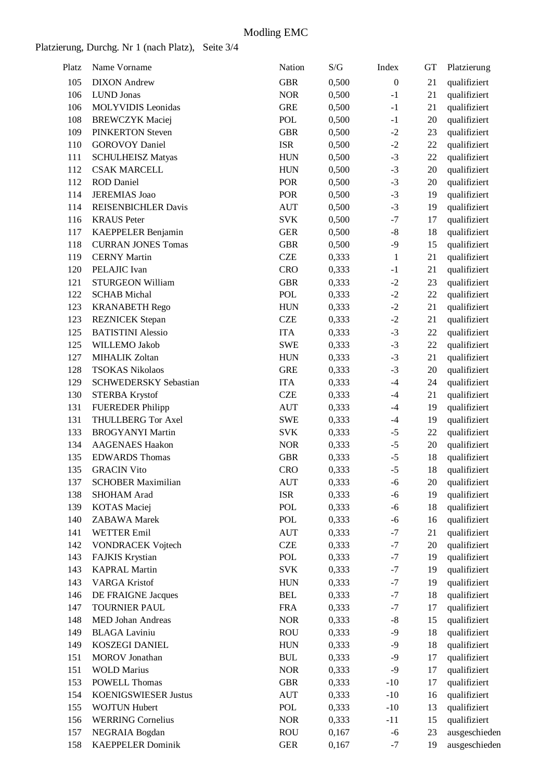### Platzierung, Durchg. Nr 1 (nach Platz), Seite 3/4

| Platz | Name Vorname                 | Nation     | S/G   | Index            | GT     | Platzierung   |
|-------|------------------------------|------------|-------|------------------|--------|---------------|
| 105   | <b>DIXON</b> Andrew          | <b>GBR</b> | 0,500 | $\boldsymbol{0}$ | 21     | qualifiziert  |
| 106   | <b>LUND</b> Jonas            | <b>NOR</b> | 0,500 | $-1$             | 21     | qualifiziert  |
| 106   | <b>MOLYVIDIS</b> Leonidas    | <b>GRE</b> | 0,500 | $-1$             | 21     | qualifiziert  |
| 108   | <b>BREWCZYK Maciej</b>       | <b>POL</b> | 0,500 | $-1$             | 20     | qualifiziert  |
| 109   | <b>PINKERTON Steven</b>      | <b>GBR</b> | 0,500 | $-2$             | 23     | qualifiziert  |
| 110   | <b>GOROVOY Daniel</b>        | <b>ISR</b> | 0,500 | $-2$             | 22     | qualifiziert  |
| 111   | <b>SCHULHEISZ Matyas</b>     | <b>HUN</b> | 0,500 | $-3$             | 22     | qualifiziert  |
| 112   | <b>CSAK MARCELL</b>          | <b>HUN</b> | 0,500 | $-3$             | 20     | qualifiziert  |
| 112   | <b>ROD</b> Daniel            | POR        | 0,500 | $-3$             | 20     | qualifiziert  |
| 114   | <b>JEREMIAS</b> Joao         | <b>POR</b> | 0,500 | $-3$             | 19     | qualifiziert  |
| 114   | <b>REISENBICHLER Davis</b>   | <b>AUT</b> | 0,500 | $-3$             | 19     | qualifiziert  |
| 116   | <b>KRAUS</b> Peter           | <b>SVK</b> | 0,500 | $-7$             | 17     | qualifiziert  |
| 117   | KAEPPELER Benjamin           | <b>GER</b> | 0,500 | $-8$             | 18     | qualifiziert  |
| 118   | <b>CURRAN JONES Tomas</b>    | <b>GBR</b> | 0,500 | $-9$             | 15     | qualifiziert  |
| 119   | <b>CERNY Martin</b>          | <b>CZE</b> | 0,333 | $\mathbf{1}$     | 21     | qualifiziert  |
| 120   | PELAJIC Ivan                 | <b>CRO</b> | 0,333 | $-1$             | 21     | qualifiziert  |
| 121   | STURGEON William             | <b>GBR</b> | 0,333 | $-2$             | 23     | qualifiziert  |
| 122   | <b>SCHAB Michal</b>          | <b>POL</b> | 0,333 | $-2$             | $22\,$ | qualifiziert  |
| 123   | <b>KRANABETH Rego</b>        | <b>HUN</b> | 0,333 | $-2$             | 21     | qualifiziert  |
| 123   | <b>REZNICEK</b> Stepan       | <b>CZE</b> | 0,333 | $-2$             | 21     | qualifiziert  |
| 125   | <b>BATISTINI</b> Alessio     | <b>ITA</b> | 0,333 | $-3$             | 22     | qualifiziert  |
| 125   | WILLEMO Jakob                | <b>SWE</b> | 0,333 | $-3$             | $22\,$ | qualifiziert  |
| 127   | <b>MIHALIK Zoltan</b>        | <b>HUN</b> | 0,333 | $-3$             | 21     | qualifiziert  |
| 128   | <b>TSOKAS Nikolaos</b>       | <b>GRE</b> | 0,333 | $-3$             | 20     |               |
|       |                              |            |       | $-4$             |        | qualifiziert  |
| 129   | <b>SCHWEDERSKY Sebastian</b> | <b>ITA</b> | 0,333 |                  | 24     | qualifiziert  |
| 130   | <b>STERBA Krystof</b>        | <b>CZE</b> | 0,333 | $-4$             | 21     | qualifiziert  |
| 131   | <b>FUEREDER Philipp</b>      | <b>AUT</b> | 0,333 | $-4$             | 19     | qualifiziert  |
| 131   | <b>THULLBERG Tor Axel</b>    | <b>SWE</b> | 0,333 | $-4$             | 19     | qualifiziert  |
| 133   | <b>BROGYANYI Martin</b>      | <b>SVK</b> | 0,333 | $-5$             | 22     | qualifiziert  |
| 134   | <b>AAGENAES Haakon</b>       | <b>NOR</b> | 0,333 | $-5$             | $20\,$ | qualifiziert  |
| 135   | <b>EDWARDS Thomas</b>        | <b>GBR</b> | 0,333 | $-5$             | 18     | qualifiziert  |
| 135   | <b>GRACIN Vito</b>           | <b>CRO</b> | 0,333 | $-5$             | 18     | qualifiziert  |
| 137   | <b>SCHOBER Maximilian</b>    | <b>AUT</b> | 0,333 | -6               | 20     | qualifiziert  |
| 138   | SHOHAM Arad                  | <b>ISR</b> | 0,333 | $-6$             | 19     | qualifiziert  |
| 139   | <b>KOTAS</b> Maciej          | POL        | 0,333 | $-6$             | 18     | qualifiziert  |
| 140   | <b>ZABAWA</b> Marek          | POL        | 0,333 | $-6$             | 16     | qualifiziert  |
| 141   | <b>WETTER Emil</b>           | <b>AUT</b> | 0,333 | $-7$             | 21     | qualifiziert  |
| 142   | <b>VONDRACEK Vojtech</b>     | <b>CZE</b> | 0,333 | $-7$             | 20     | qualifiziert  |
| 143   | <b>FAJKIS Krystian</b>       | POL        | 0,333 | $-7$             | 19     | qualifiziert  |
| 143   | <b>KAPRAL Martin</b>         | <b>SVK</b> | 0,333 | $-7$             | 19     | qualifiziert  |
| 143   | <b>VARGA Kristof</b>         | <b>HUN</b> | 0,333 | $-7$             | 19     | qualifiziert  |
| 146   | DE FRAIGNE Jacques           | <b>BEL</b> | 0,333 | $-7$             | 18     | qualifiziert  |
| 147   | <b>TOURNIER PAUL</b>         | <b>FRA</b> | 0,333 | $-7$             | 17     | qualifiziert  |
| 148   | MED Johan Andreas            | <b>NOR</b> | 0,333 | $-8$             | 15     | qualifiziert  |
| 149   | <b>BLAGA Laviniu</b>         | <b>ROU</b> | 0,333 | $-9$             | 18     | qualifiziert  |
| 149   | KOSZEGI DANIEL               | <b>HUN</b> | 0,333 | $-9$             | 18     | qualifiziert  |
| 151   | <b>MOROV</b> Jonathan        | <b>BUL</b> | 0,333 | $-9$             | 17     | qualifiziert  |
| 151   | <b>WOLD Marius</b>           | <b>NOR</b> | 0,333 | $-9$             | 17     | qualifiziert  |
| 153   | <b>POWELL Thomas</b>         | <b>GBR</b> | 0,333 | $-10$            | 17     | qualifiziert  |
| 154   | <b>KOENIGSWIESER Justus</b>  | <b>AUT</b> | 0,333 | $-10$            | 16     | qualifiziert  |
| 155   | <b>WOJTUN Hubert</b>         | POL        | 0,333 | $-10$            | 13     | qualifiziert  |
| 156   | <b>WERRING Cornelius</b>     | <b>NOR</b> | 0,333 | $-11$            | 15     | qualifiziert  |
| 157   | NEGRAIA Bogdan               | <b>ROU</b> | 0,167 | $-6$             | 23     | ausgeschieden |
| 158   | <b>KAEPPELER Dominik</b>     | <b>GER</b> | 0,167 | $-7$             | 19     | ausgeschieden |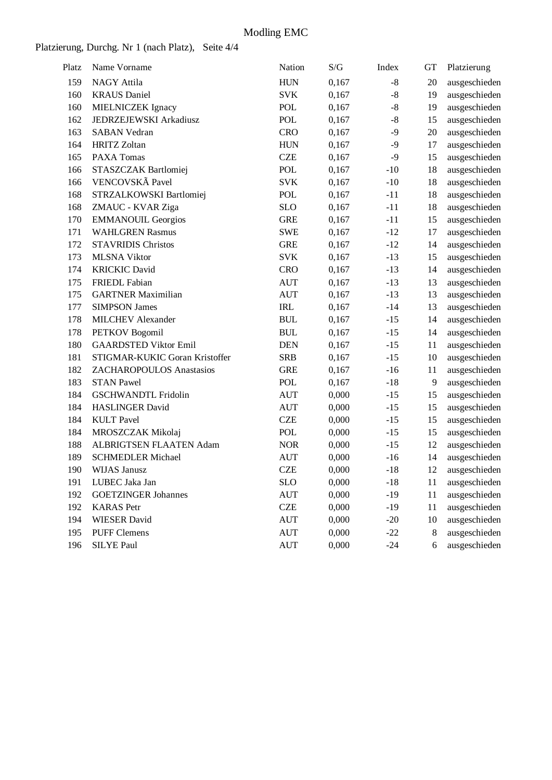## Platzierung, Durchg. Nr 1 (nach Platz), Seite 4/4

| Platz | Name Vorname                   | Nation     | S/G   | Index | <b>GT</b> | Platzierung   |
|-------|--------------------------------|------------|-------|-------|-----------|---------------|
| 159   | <b>NAGY Attila</b>             | <b>HUN</b> | 0,167 | $-8$  | 20        | ausgeschieden |
| 160   | <b>KRAUS</b> Daniel            | <b>SVK</b> | 0,167 | $-8$  | 19        | ausgeschieden |
| 160   | MIELNICZEK Ignacy              | POL        | 0,167 | $-8$  | 19        | ausgeschieden |
| 162   | JEDRZEJEWSKI Arkadiusz         | <b>POL</b> | 0,167 | $-8$  | 15        | ausgeschieden |
| 163   | <b>SABAN Vedran</b>            | <b>CRO</b> | 0,167 | $-9$  | 20        | ausgeschieden |
| 164   | <b>HRITZ Zoltan</b>            | <b>HUN</b> | 0,167 | $-9$  | 17        | ausgeschieden |
| 165   | PAXA Tomas                     | <b>CZE</b> | 0,167 | $-9$  | 15        | ausgeschieden |
| 166   | STASZCZAK Bartlomiej           | <b>POL</b> | 0,167 | $-10$ | 18        | ausgeschieden |
| 166   | VENCOVSKÃ Pavel                | <b>SVK</b> | 0,167 | $-10$ | 18        | ausgeschieden |
| 168   | STRZALKOWSKI Bartlomiej        | POL        | 0,167 | $-11$ | 18        | ausgeschieden |
| 168   | ZMAUC - KVAR Ziga              | <b>SLO</b> | 0,167 | $-11$ | 18        | ausgeschieden |
| 170   | <b>EMMANOUIL Georgios</b>      | <b>GRE</b> | 0,167 | $-11$ | 15        | ausgeschieden |
| 171   | <b>WAHLGREN Rasmus</b>         | <b>SWE</b> | 0,167 | $-12$ | 17        | ausgeschieden |
| 172   | <b>STAVRIDIS Christos</b>      | <b>GRE</b> | 0,167 | $-12$ | 14        | ausgeschieden |
| 173   | <b>MLSNA Viktor</b>            | <b>SVK</b> | 0,167 | $-13$ | 15        | ausgeschieden |
| 174   | <b>KRICKIC David</b>           | <b>CRO</b> | 0,167 | $-13$ | 14        | ausgeschieden |
| 175   | <b>FRIEDL</b> Fabian           | <b>AUT</b> | 0,167 | $-13$ | 13        | ausgeschieden |
| 175   | <b>GARTNER Maximilian</b>      | <b>AUT</b> | 0,167 | $-13$ | 13        | ausgeschieden |
| 177   | <b>SIMPSON James</b>           | IRL        | 0,167 | $-14$ | 13        | ausgeschieden |
| 178   | <b>MILCHEV</b> Alexander       | <b>BUL</b> | 0,167 | $-15$ | 14        | ausgeschieden |
| 178   | PETKOV Bogomil                 | <b>BUL</b> | 0,167 | $-15$ | 14        | ausgeschieden |
| 180   | <b>GAARDSTED Viktor Emil</b>   | <b>DEN</b> | 0,167 | $-15$ | 11        | ausgeschieden |
| 181   | STIGMAR-KUKIC Goran Kristoffer | <b>SRB</b> | 0,167 | $-15$ | 10        | ausgeschieden |
| 182   | ZACHAROPOULOS Anastasios       | <b>GRE</b> | 0,167 | $-16$ | 11        | ausgeschieden |
| 183   | <b>STAN Pawel</b>              | POL        | 0,167 | $-18$ | 9         | ausgeschieden |
| 184   | <b>GSCHWANDTL Fridolin</b>     | <b>AUT</b> | 0,000 | $-15$ | 15        | ausgeschieden |
| 184   | <b>HASLINGER David</b>         | <b>AUT</b> | 0,000 | $-15$ | 15        | ausgeschieden |
| 184   | <b>KULT</b> Pavel              | <b>CZE</b> | 0,000 | $-15$ | 15        | ausgeschieden |
| 184   | MROSZCZAK Mikolaj              | POL        | 0,000 | $-15$ | 15        | ausgeschieden |
| 188   | ALBRIGTSEN FLAATEN Adam        | <b>NOR</b> | 0,000 | $-15$ | 12        | ausgeschieden |
| 189   | <b>SCHMEDLER Michael</b>       | <b>AUT</b> | 0,000 | $-16$ | 14        | ausgeschieden |
| 190   | <b>WIJAS Janusz</b>            | <b>CZE</b> | 0,000 | $-18$ | 12        | ausgeschieden |
| 191   | LUBEC Jaka Jan                 | SLO        | 0,000 | $-18$ | 11        | ausgeschieden |
| 192   | <b>GOETZINGER Johannes</b>     | <b>AUT</b> | 0,000 | $-19$ | 11        | ausgeschieden |
| 192   | <b>KARAS</b> Petr              | <b>CZE</b> | 0,000 | $-19$ | 11        | ausgeschieden |
| 194   | <b>WIESER</b> David            | <b>AUT</b> | 0,000 | $-20$ | 10        | ausgeschieden |
| 195   | <b>PUFF Clemens</b>            | <b>AUT</b> | 0,000 | $-22$ | 8         | ausgeschieden |
| 196   | <b>SILYE Paul</b>              | <b>AUT</b> | 0,000 | $-24$ | 6         | ausgeschieden |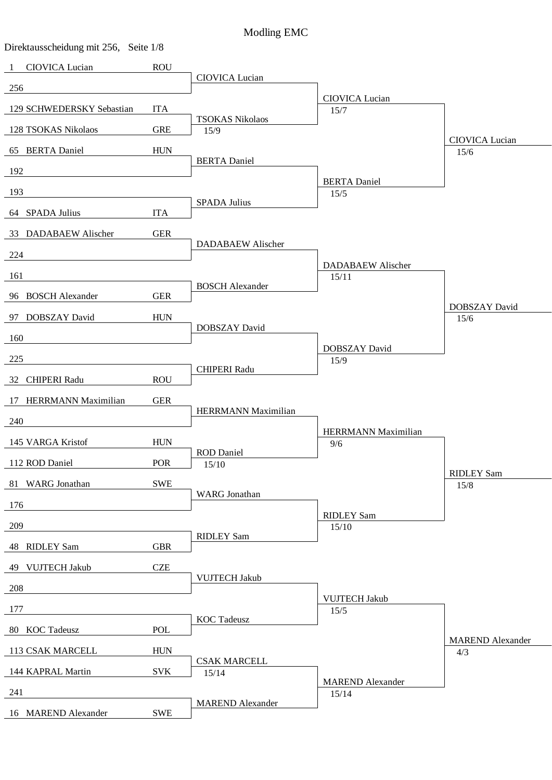| Direktausscheidung mit 256, Seite 1/8 |             |                                |                              |                                |
|---------------------------------------|-------------|--------------------------------|------------------------------|--------------------------------|
| CIOVICA Lucian<br>$\mathbf{1}$        | <b>ROU</b>  |                                |                              |                                |
| 256                                   |             | CIOVICA Lucian                 |                              |                                |
| 129 SCHWEDERSKY Sebastian             | <b>ITA</b>  |                                | CIOVICA Lucian<br>15/7       |                                |
| 128 TSOKAS Nikolaos                   | <b>GRE</b>  | <b>TSOKAS Nikolaos</b><br>15/9 |                              |                                |
|                                       |             |                                |                              | CIOVICA Lucian                 |
| 65 BERTA Daniel                       | ${\rm HUN}$ | <b>BERTA</b> Daniel            |                              | 15/6                           |
| 192                                   |             |                                | <b>BERTA</b> Daniel          |                                |
| 193                                   |             | <b>SPADA Julius</b>            | 15/5                         |                                |
| 64 SPADA Julius                       | <b>ITA</b>  |                                |                              |                                |
| 33 DADABAEW Alischer                  | <b>GER</b>  |                                |                              |                                |
| 224                                   |             | <b>DADABAEW Alischer</b>       |                              |                                |
| 161                                   |             |                                | <b>DADABAEW Alischer</b>     |                                |
|                                       |             | <b>BOSCH Alexander</b>         | 15/11                        |                                |
| 96 BOSCH Alexander                    | <b>GER</b>  |                                |                              | DOBSZAY David                  |
| 97 DOBSZAY David                      | ${\rm HUN}$ | DOBSZAY David                  |                              | 15/6                           |
| 160                                   |             |                                | DOBSZAY David                |                                |
| 225                                   |             |                                | 15/9                         |                                |
| 32 CHIPERI Radu                       | <b>ROU</b>  | <b>CHIPERI Radu</b>            |                              |                                |
| 17 HERRMANN Maximilian                | <b>GER</b>  |                                |                              |                                |
| 240                                   |             | HERRMANN Maximilian            |                              |                                |
|                                       |             |                                | <b>HERRMANN Maximilian</b>   |                                |
| 145 VARGA Kristof                     | <b>HUN</b>  | <b>ROD</b> Daniel              | 9/6                          |                                |
| 112 ROD Daniel                        | POR         | 15/10                          |                              | <b>RIDLEY Sam</b>              |
| 81 WARG Jonathan                      | <b>SWE</b>  |                                |                              | 15/8                           |
| 176                                   |             | <b>WARG</b> Jonathan           |                              |                                |
| 209                                   |             |                                | <b>RIDLEY Sam</b><br>15/10   |                                |
| 48 RIDLEY Sam                         | <b>GBR</b>  | <b>RIDLEY Sam</b>              |                              |                                |
| 49 VUJTECH Jakub                      | <b>CZE</b>  |                                |                              |                                |
| 208                                   |             | <b>VUJTECH Jakub</b>           |                              |                                |
| 177                                   |             |                                | <b>VUJTECH Jakub</b><br>15/5 |                                |
| 80 KOC Tadeusz                        | <b>POL</b>  | <b>KOC</b> Tadeusz             |                              |                                |
| 113 CSAK MARCELL                      | <b>HUN</b>  |                                |                              | <b>MAREND</b> Alexander<br>4/3 |
| 144 KAPRAL Martin                     | <b>SVK</b>  | <b>CSAK MARCELL</b><br>15/14   |                              |                                |
|                                       |             |                                | <b>MAREND</b> Alexander      |                                |
| 241                                   |             | <b>MAREND</b> Alexander        | 15/14                        |                                |
| 16 MAREND Alexander                   | <b>SWE</b>  |                                |                              |                                |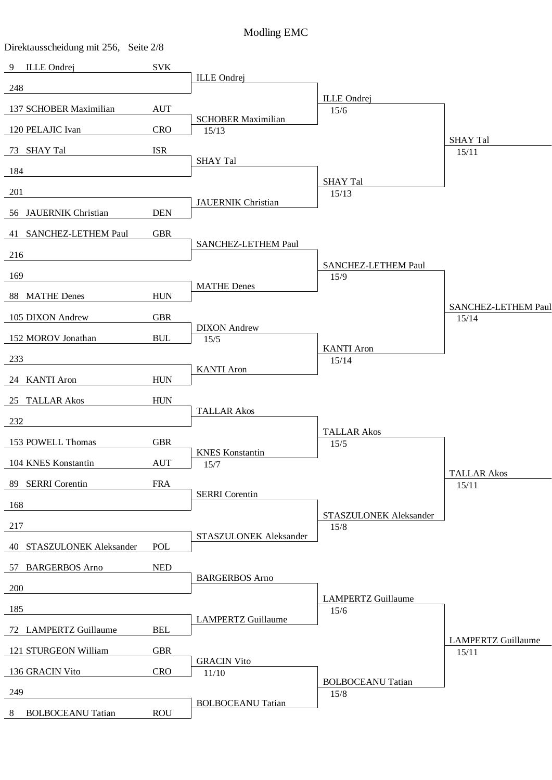| Direktausscheidung mit 256, Seite 2/8 |            |                                |                                   |                             |
|---------------------------------------|------------|--------------------------------|-----------------------------------|-----------------------------|
| <b>ILLE</b> Ondrej<br>9               | <b>SVK</b> |                                |                                   |                             |
| 248                                   |            | <b>ILLE</b> Ondrej             |                                   |                             |
| 137 SCHOBER Maximilian                | <b>AUT</b> |                                | <b>ILLE</b> Ondrej<br>15/6        |                             |
| 120 PELAJIC Ivan                      | <b>CRO</b> | <b>SCHOBER Maximilian</b>      |                                   |                             |
|                                       |            | 15/13                          |                                   | <b>SHAY Tal</b>             |
| 73 SHAY Tal                           | <b>ISR</b> | <b>SHAY Tal</b>                |                                   | 15/11                       |
| 184                                   |            |                                | <b>SHAY Tal</b>                   |                             |
| 201                                   |            |                                | 15/13                             |                             |
| 56 JAUERNIK Christian                 | <b>DEN</b> | <b>JAUERNIK Christian</b>      |                                   |                             |
| 41 SANCHEZ-LETHEM Paul                | <b>GBR</b> |                                |                                   |                             |
| 216                                   |            | SANCHEZ-LETHEM Paul            |                                   |                             |
|                                       |            |                                | SANCHEZ-LETHEM Paul               |                             |
| 169                                   |            | <b>MATHE Denes</b>             | 15/9                              |                             |
| 88 MATHE Denes                        | <b>HUN</b> |                                |                                   | SANCHEZ-LETHEM Paul         |
| 105 DIXON Andrew                      | <b>GBR</b> |                                |                                   | 15/14                       |
| 152 MOROV Jonathan                    | <b>BUL</b> | <b>DIXON</b> Andrew<br>15/5    |                                   |                             |
| 233                                   |            |                                | <b>KANTI</b> Aron<br>15/14        |                             |
| 24 KANTI Aron                         | <b>HUN</b> | <b>KANTI</b> Aron              |                                   |                             |
|                                       |            |                                |                                   |                             |
| 25 TALLAR Akos                        | <b>HUN</b> | <b>TALLAR Akos</b>             |                                   |                             |
| 232                                   |            |                                | <b>TALLAR Akos</b>                |                             |
| 153 POWELL Thomas                     | <b>GBR</b> |                                | 15/5                              |                             |
| 104 KNES Konstantin                   | <b>AUT</b> | <b>KNES</b> Konstantin<br>15/7 |                                   |                             |
| 89 SERRI Corentin                     | <b>FRA</b> |                                |                                   | <b>TALLAR Akos</b><br>15/11 |
| 168                                   |            | <b>SERRI</b> Corentin          |                                   |                             |
|                                       |            |                                | STASZULONEK Aleksander            |                             |
| 217                                   |            | STASZULONEK Aleksander         | 15/8                              |                             |
| 40 STASZULONEK Aleksander             | POL        |                                |                                   |                             |
| 57 BARGERBOS Arno                     | <b>NED</b> |                                |                                   |                             |
| 200                                   |            | <b>BARGERBOS</b> Arno          |                                   |                             |
| 185                                   |            |                                | <b>LAMPERTZ Guillaume</b><br>15/6 |                             |
| 72 LAMPERTZ Guillaume                 | <b>BEL</b> | <b>LAMPERTZ Guillaume</b>      |                                   |                             |
|                                       |            |                                |                                   | <b>LAMPERTZ Guillaume</b>   |
| 121 STURGEON William                  | <b>GBR</b> | <b>GRACIN Vito</b>             |                                   | 15/11                       |
| 136 GRACIN Vito                       | <b>CRO</b> | 11/10                          | <b>BOLBOCEANU Tatian</b>          |                             |
| 249                                   |            |                                | 15/8                              |                             |
| <b>BOLBOCEANU Tatian</b><br>8         | <b>ROU</b> | <b>BOLBOCEANU Tatian</b>       |                                   |                             |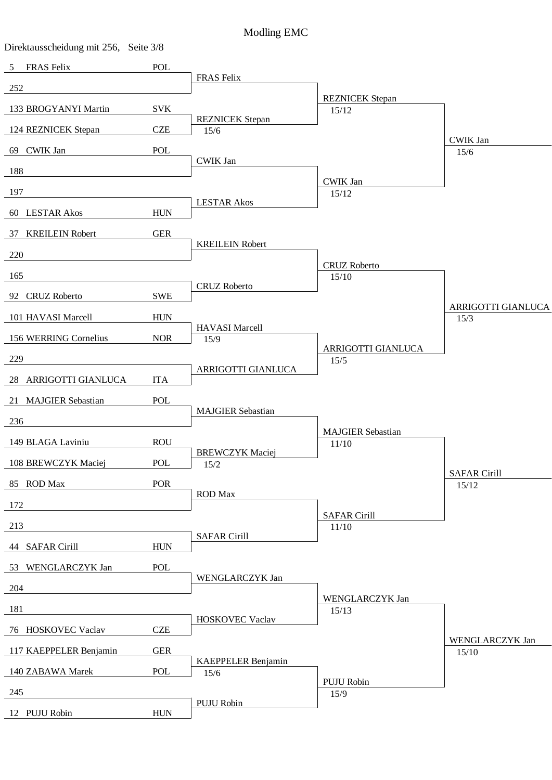| Direktausscheidung mit 256, Seite 3/8 |             |                                |                                   |                            |
|---------------------------------------|-------------|--------------------------------|-----------------------------------|----------------------------|
| <b>FRAS Felix</b><br>5                | POL         |                                |                                   |                            |
| 252                                   |             | FRAS Felix                     |                                   |                            |
| 133 BROGYANYI Martin                  | <b>SVK</b>  |                                | <b>REZNICEK</b> Stepan<br>15/12   |                            |
| 124 REZNICEK Stepan                   | <b>CZE</b>  | <b>REZNICEK</b> Stepan         |                                   |                            |
|                                       |             | 15/6                           |                                   | <b>CWIK Jan</b>            |
| 69 CWIK Jan                           | POL         | <b>CWIK Jan</b>                |                                   | 15/6                       |
| 188                                   |             |                                | <b>CWIK Jan</b>                   |                            |
| 197                                   |             |                                | 15/12                             |                            |
| 60 LESTAR Akos                        | <b>HUN</b>  | <b>LESTAR Akos</b>             |                                   |                            |
| 37 KREILEIN Robert                    | <b>GER</b>  |                                |                                   |                            |
| 220                                   |             | <b>KREILEIN Robert</b>         |                                   |                            |
|                                       |             |                                | <b>CRUZ Roberto</b>               |                            |
| 165                                   |             | <b>CRUZ Roberto</b>            | 15/10                             |                            |
| 92 CRUZ Roberto                       | <b>SWE</b>  |                                |                                   |                            |
| 101 HAVASI Marcell                    | <b>HUN</b>  |                                |                                   | ARRIGOTTI GIANLUCA<br>15/3 |
| 156 WERRING Cornelius                 | <b>NOR</b>  | <b>HAVASI Marcell</b><br>15/9  |                                   |                            |
| 229                                   |             |                                | ARRIGOTTI GIANLUCA                |                            |
|                                       |             | ARRIGOTTI GIANLUCA             | 15/5                              |                            |
| 28 ARRIGOTTI GIANLUCA                 | <b>ITA</b>  |                                |                                   |                            |
| 21 MAJGIER Sebastian                  | POL         | <b>MAJGIER Sebastian</b>       |                                   |                            |
| 236                                   |             |                                |                                   |                            |
| 149 BLAGA Laviniu                     | <b>ROU</b>  |                                | <b>MAJGIER Sebastian</b><br>11/10 |                            |
| 108 BREWCZYK Maciej                   | POL         | <b>BREWCZYK Maciej</b><br>15/2 |                                   |                            |
|                                       |             |                                |                                   | <b>SAFAR Cirill</b>        |
| 85 ROD Max                            | POR         | <b>ROD</b> Max                 |                                   | 15/12                      |
| 172                                   |             |                                | <b>SAFAR Cirill</b>               |                            |
| 213                                   |             |                                | 11/10                             |                            |
| 44 SAFAR Cirill                       | <b>HUN</b>  | <b>SAFAR Cirill</b>            |                                   |                            |
| 53 WENGLARCZYK Jan                    | POL         |                                |                                   |                            |
| 204                                   |             | WENGLARCZYK Jan                |                                   |                            |
| 181                                   |             |                                | WENGLARCZYK Jan<br>15/13          |                            |
| 76 HOSKOVEC Vaclav                    | <b>CZE</b>  | HOSKOVEC Vaclav                |                                   |                            |
|                                       |             |                                |                                   | WENGLARCZYK Jan            |
| 117 KAEPPELER Benjamin                | ${\tt GER}$ | KAEPPELER Benjamin             |                                   | 15/10                      |
| 140 ZABAWA Marek                      | POL         | 15/6                           | PUJU Robin                        |                            |
| 245                                   |             |                                | 15/9                              |                            |
| 12 PUJU Robin                         | <b>HUN</b>  | PUJU Robin                     |                                   |                            |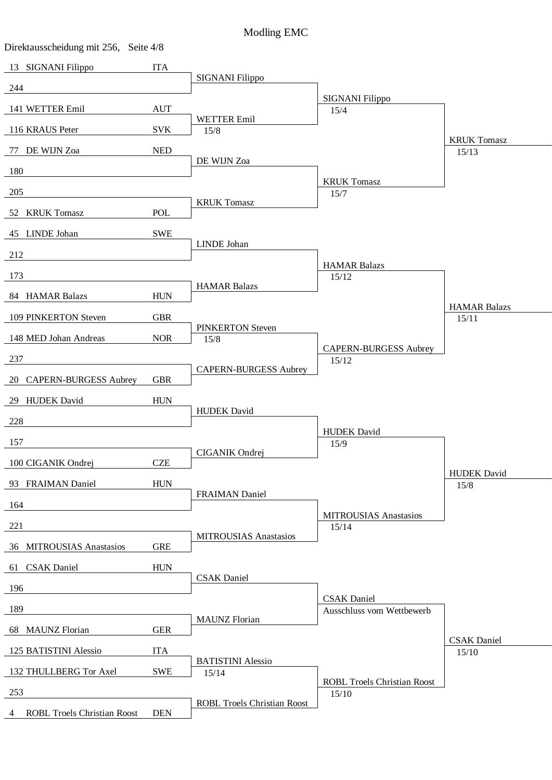| Direktausscheidung mit 256, Seite 4/8   |                                  |                                    |                                             |                     |
|-----------------------------------------|----------------------------------|------------------------------------|---------------------------------------------|---------------------|
| 13 SIGNANI Filippo                      | <b>ITA</b>                       |                                    |                                             |                     |
| 244                                     |                                  | SIGNANI Filippo                    |                                             |                     |
| 141 WETTER Emil                         | $\mathbf{A}\mathbf{U}\mathbf{T}$ |                                    | <b>SIGNANI Filippo</b><br>15/4              |                     |
| 116 KRAUS Peter                         | <b>SVK</b>                       | WETTER Emil<br>15/8                |                                             |                     |
|                                         |                                  |                                    |                                             | <b>KRUK Tomasz</b>  |
| 77 DE WIJN Zoa                          | <b>NED</b>                       | DE WIJN Zoa                        |                                             | 15/13               |
| 180                                     |                                  |                                    | <b>KRUK Tomasz</b>                          |                     |
| 205                                     |                                  | <b>KRUK Tomasz</b>                 | 15/7                                        |                     |
| 52 KRUK Tomasz                          | POL                              |                                    |                                             |                     |
| 45 LINDE Johan                          | <b>SWE</b>                       |                                    |                                             |                     |
| 212                                     |                                  | LINDE Johan                        |                                             |                     |
| 173                                     |                                  |                                    | <b>HAMAR Balazs</b>                         |                     |
|                                         |                                  | <b>HAMAR Balazs</b>                | 15/12                                       |                     |
| 84 HAMAR Balazs                         | <b>HUN</b>                       |                                    |                                             | <b>HAMAR Balazs</b> |
| 109 PINKERTON Steven                    | <b>GBR</b>                       | <b>PINKERTON Steven</b>            |                                             | 15/11               |
| 148 MED Johan Andreas                   | <b>NOR</b>                       | 15/8                               | <b>CAPERN-BURGESS Aubrey</b>                |                     |
| 237                                     |                                  |                                    | 15/12                                       |                     |
| 20 CAPERN-BURGESS Aubrey                | <b>GBR</b>                       | <b>CAPERN-BURGESS Aubrey</b>       |                                             |                     |
| 29 HUDEK David                          | <b>HUN</b>                       |                                    |                                             |                     |
| 228                                     |                                  | <b>HUDEK</b> David                 |                                             |                     |
|                                         |                                  |                                    | <b>HUDEK</b> David                          |                     |
| 157                                     |                                  | CIGANIK Ondrej                     | 15/9                                        |                     |
| 100 CIGANIK Ondrej                      | <b>CZE</b>                       |                                    |                                             | <b>HUDEK</b> David  |
| 93 FRAIMAN Daniel                       | <b>HUN</b>                       | <b>FRAIMAN Daniel</b>              |                                             | 15/8                |
| 164                                     |                                  |                                    |                                             |                     |
| 221                                     |                                  |                                    | <b>MITROUSIAS Anastasios</b><br>15/14       |                     |
| 36 MITROUSIAS Anastasios                | <b>GRE</b>                       | <b>MITROUSIAS Anastasios</b>       |                                             |                     |
| 61 CSAK Daniel                          | <b>HUN</b>                       |                                    |                                             |                     |
|                                         |                                  | <b>CSAK</b> Daniel                 |                                             |                     |
| 196                                     |                                  |                                    | <b>CSAK</b> Daniel                          |                     |
| 189                                     |                                  | <b>MAUNZ</b> Florian               | Ausschluss vom Wettbewerb                   |                     |
| <b>MAUNZ</b> Florian<br>68              | <b>GER</b>                       |                                    |                                             | <b>CSAK</b> Daniel  |
| 125 BATISTINI Alessio                   | <b>ITA</b>                       | <b>BATISTINI Alessio</b>           |                                             | 15/10               |
| 132 THULLBERG Tor Axel                  | <b>SWE</b>                       | 15/14                              |                                             |                     |
| 253                                     |                                  |                                    | <b>ROBL Troels Christian Roost</b><br>15/10 |                     |
| <b>ROBL Troels Christian Roost</b><br>4 | <b>DEN</b>                       | <b>ROBL Troels Christian Roost</b> |                                             |                     |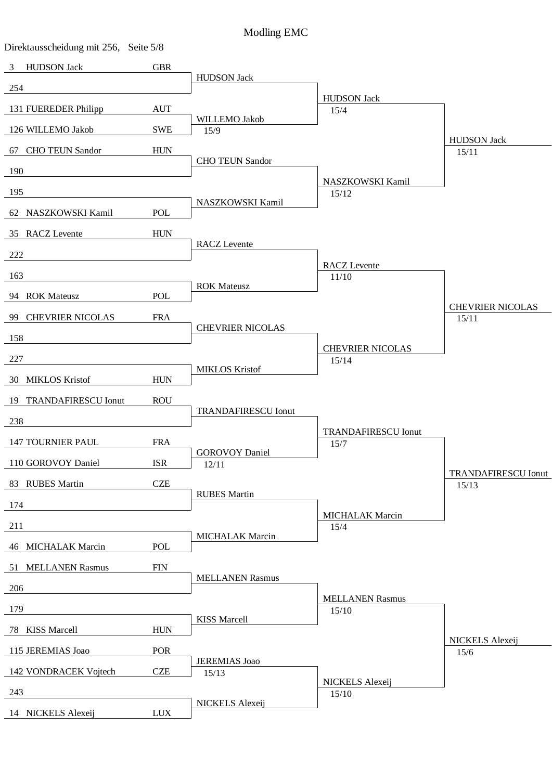| Direktausscheidung mit 256, Seite 5/8 |                           |                            |                                |                                  |
|---------------------------------------|---------------------------|----------------------------|--------------------------------|----------------------------------|
| <b>HUDSON Jack</b><br>$\mathfrak{Z}$  | <b>GBR</b>                |                            |                                |                                  |
| 254                                   |                           | <b>HUDSON Jack</b>         |                                |                                  |
| 131 FUEREDER Philipp                  | <b>AUT</b>                |                            | <b>HUDSON Jack</b><br>15/4     |                                  |
|                                       |                           | WILLEMO Jakob              |                                |                                  |
| 126 WILLEMO Jakob                     | <b>SWE</b>                | 15/9                       |                                | <b>HUDSON Jack</b>               |
| 67 CHO TEUN Sandor                    | <b>HUN</b>                | <b>CHO TEUN Sandor</b>     |                                | 15/11                            |
| 190                                   |                           |                            |                                |                                  |
| 195                                   |                           |                            | NASZKOWSKI Kamil<br>15/12      |                                  |
| 62 NASZKOWSKI Kamil                   | <b>POL</b>                | NASZKOWSKI Kamil           |                                |                                  |
| 35 RACZ Levente                       | <b>HUN</b>                |                            |                                |                                  |
|                                       |                           | <b>RACZ</b> Levente        |                                |                                  |
| 222                                   |                           |                            | <b>RACZ</b> Levente            |                                  |
| 163                                   |                           |                            | 11/10                          |                                  |
| 94 ROK Mateusz                        | <b>POL</b>                | <b>ROK Mateusz</b>         |                                |                                  |
| 99 CHEVRIER NICOLAS                   | <b>FRA</b>                |                            |                                | <b>CHEVRIER NICOLAS</b><br>15/11 |
|                                       |                           | <b>CHEVRIER NICOLAS</b>    |                                |                                  |
| 158                                   |                           |                            | <b>CHEVRIER NICOLAS</b>        |                                  |
| 227                                   |                           | <b>MIKLOS Kristof</b>      | 15/14                          |                                  |
| 30 MIKLOS Kristof                     | <b>HUN</b>                |                            |                                |                                  |
| 19 TRANDAFIRESCU Ionut                | <b>ROU</b>                |                            |                                |                                  |
| 238                                   |                           | <b>TRANDAFIRESCU Ionut</b> |                                |                                  |
|                                       | <b>FRA</b>                |                            | <b>TRANDAFIRESCU Ionut</b>     |                                  |
| <b>147 TOURNIER PAUL</b>              |                           | <b>GOROVOY Daniel</b>      | 15/7                           |                                  |
| 110 GOROVOY Daniel                    | <b>ISR</b>                | 12/11                      |                                | <b>TRANDAFIRESCU Ionut</b>       |
| 83 RUBES Martin                       | <b>CZE</b>                | <b>RUBES Martin</b>        |                                | 15/13                            |
| 174                                   |                           |                            |                                |                                  |
| 211                                   |                           |                            | <b>MICHALAK Marcin</b><br>15/4 |                                  |
| 46 MICHALAK Marcin                    | <b>POL</b>                | <b>MICHALAK Marcin</b>     |                                |                                  |
|                                       |                           |                            |                                |                                  |
| 51 MELLANEN Rasmus                    | <b>FIN</b>                | <b>MELLANEN Rasmus</b>     |                                |                                  |
| 206                                   |                           |                            | <b>MELLANEN Rasmus</b>         |                                  |
| 179                                   |                           |                            | 15/10                          |                                  |
| 78 KISS Marcell                       | <b>HUN</b>                | <b>KISS Marcell</b>        |                                |                                  |
| 115 JEREMIAS Joao                     | POR                       |                            |                                | NICKELS Alexeij<br>15/6          |
|                                       |                           | <b>JEREMIAS</b> Joao       |                                |                                  |
| 142 VONDRACEK Vojtech                 | <b>CZE</b>                | 15/13                      | NICKELS Alexeij                |                                  |
| 243                                   |                           | NICKELS Alexeij            | 15/10                          |                                  |
| 14 NICKELS Alexeij                    | $\ensuremath{\text{LUX}}$ |                            |                                |                                  |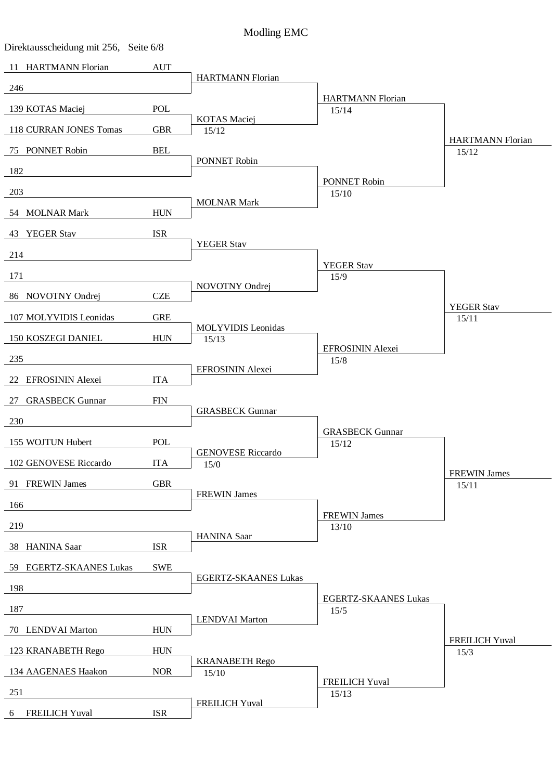| Direktausscheidung mit 256, Seite 6/8 |                             |                              |                                     |                               |
|---------------------------------------|-----------------------------|------------------------------|-------------------------------------|-------------------------------|
| 11 HARTMANN Florian                   | $\mathop{\rm AUT}$          |                              |                                     |                               |
| 246                                   |                             | <b>HARTMANN Florian</b>      |                                     |                               |
| 139 KOTAS Maciej                      | POL                         |                              | <b>HARTMANN Florian</b><br>15/14    |                               |
| 118 CURRAN JONES Tomas                | <b>GBR</b>                  | <b>KOTAS</b> Maciej<br>15/12 |                                     |                               |
|                                       |                             |                              |                                     | <b>HARTMANN Florian</b>       |
| 75 PONNET Robin                       | <b>BEL</b>                  | PONNET Robin                 |                                     | 15/12                         |
| 182                                   |                             |                              | PONNET Robin                        |                               |
| 203                                   |                             | <b>MOLNAR Mark</b>           | 15/10                               |                               |
| 54 MOLNAR Mark                        | <b>HUN</b>                  |                              |                                     |                               |
| 43 YEGER Stav                         | <b>ISR</b>                  |                              |                                     |                               |
| 214                                   |                             | <b>YEGER Stav</b>            |                                     |                               |
|                                       |                             |                              | <b>YEGER Stav</b>                   |                               |
| 171                                   |                             | NOVOTNY Ondrej               | 15/9                                |                               |
| 86 NOVOTNY Ondrej                     | <b>CZE</b>                  |                              |                                     | <b>YEGER Stav</b>             |
| 107 MOLYVIDIS Leonidas                | <b>GRE</b>                  | <b>MOLYVIDIS</b> Leonidas    |                                     | 15/11                         |
| 150 KOSZEGI DANIEL                    | <b>HUN</b>                  | 15/13                        |                                     |                               |
| 235                                   |                             |                              | EFROSININ Alexei<br>15/8            |                               |
| 22 EFROSININ Alexei                   | <b>ITA</b>                  | EFROSININ Alexei             |                                     |                               |
| 27 GRASBECK Gunnar                    | $\boldsymbol{\mathrm{FIN}}$ |                              |                                     |                               |
|                                       |                             | <b>GRASBECK Gunnar</b>       |                                     |                               |
| 230                                   |                             |                              | <b>GRASBECK Gunnar</b>              |                               |
| 155 WOJTUN Hubert                     | <b>POL</b>                  | <b>GENOVESE Riccardo</b>     | 15/12                               |                               |
| 102 GENOVESE Riccardo                 | <b>ITA</b>                  | 15/0                         |                                     |                               |
| 91 FREWIN James                       | <b>GBR</b>                  |                              |                                     | <b>FREWIN James</b><br>15/11  |
| 166                                   |                             | <b>FREWIN James</b>          |                                     |                               |
| 219                                   |                             |                              | <b>FREWIN James</b><br>13/10        |                               |
|                                       |                             | <b>HANINA</b> Saar           |                                     |                               |
| 38 HANINA Saar                        | <b>ISR</b>                  |                              |                                     |                               |
| 59 EGERTZ-SKAANES Lukas               | <b>SWE</b>                  | EGERTZ-SKAANES Lukas         |                                     |                               |
| 198                                   |                             |                              |                                     |                               |
| 187                                   |                             |                              | <b>EGERTZ-SKAANES Lukas</b><br>15/5 |                               |
| 70 LENDVAI Marton                     | <b>HUN</b>                  | <b>LENDVAI Marton</b>        |                                     |                               |
| 123 KRANABETH Rego                    | <b>HUN</b>                  |                              |                                     | <b>FREILICH Yuval</b><br>15/3 |
|                                       |                             | <b>KRANABETH Rego</b>        |                                     |                               |
| 134 AAGENAES Haakon                   | <b>NOR</b>                  | 15/10                        | <b>FREILICH Yuval</b>               |                               |
| 251                                   |                             | <b>FREILICH Yuval</b>        | 15/13                               |                               |
| <b>FREILICH Yuval</b><br>6            | <b>ISR</b>                  |                              |                                     |                               |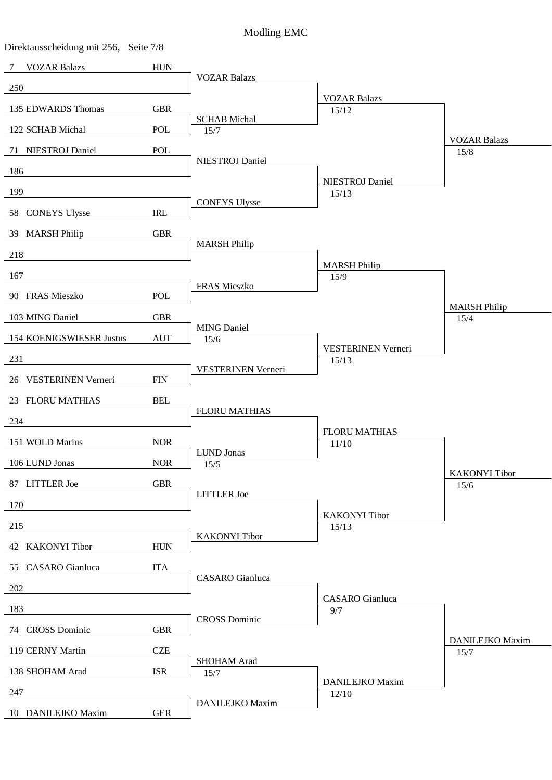| Direktausscheidung mit 256, Seite 7/8 |             |                            |                                 |                      |
|---------------------------------------|-------------|----------------------------|---------------------------------|----------------------|
| <b>VOZAR Balazs</b><br>7              | <b>HUN</b>  |                            |                                 |                      |
| 250                                   |             | <b>VOZAR Balazs</b>        |                                 |                      |
| 135 EDWARDS Thomas                    | <b>GBR</b>  |                            | <b>VOZAR Balazs</b><br>15/12    |                      |
|                                       |             | <b>SCHAB</b> Michal        |                                 |                      |
| 122 SCHAB Michal                      | POL         | 15/7                       |                                 | <b>VOZAR Balazs</b>  |
| 71 NIESTROJ Daniel                    | POL         | NIESTROJ Daniel            |                                 | 15/8                 |
| 186                                   |             |                            | <b>NIESTROJ</b> Daniel          |                      |
| 199                                   |             |                            | 15/13                           |                      |
| 58 CONEYS Ulysse                      | IRL         | <b>CONEYS Ulysse</b>       |                                 |                      |
| 39 MARSH Philip                       | <b>GBR</b>  |                            |                                 |                      |
| 218                                   |             | <b>MARSH Philip</b>        |                                 |                      |
|                                       |             |                            | <b>MARSH Philip</b>             |                      |
| 167                                   |             | FRAS Mieszko               | 15/9                            |                      |
| 90 FRAS Mieszko                       | POL         |                            |                                 | <b>MARSH Philip</b>  |
| 103 MING Daniel                       | <b>GBR</b>  |                            |                                 | 15/4                 |
| 154 KOENIGSWIESER Justus              | <b>AUT</b>  | <b>MING Daniel</b><br>15/6 |                                 |                      |
| 231                                   |             |                            | VESTERINEN Verneri<br>15/13     |                      |
|                                       |             | VESTERINEN Verneri         |                                 |                      |
| 26 VESTERINEN Verneri                 | ${\rm FIN}$ |                            |                                 |                      |
| 23 FLORU MATHIAS                      | <b>BEL</b>  | <b>FLORU MATHIAS</b>       |                                 |                      |
| 234                                   |             |                            |                                 |                      |
| 151 WOLD Marius                       | <b>NOR</b>  |                            | <b>FLORU MATHIAS</b><br>11/10   |                      |
| 106 LUND Jonas                        | <b>NOR</b>  | LUND Jonas<br>15/5         |                                 |                      |
| 87 LITTLER Joe                        | <b>GBR</b>  |                            |                                 | <b>KAKONYI</b> Tibor |
|                                       |             | <b>LITTLER</b> Joe         |                                 | 15/6                 |
| 170                                   |             |                            | <b>KAKONYI</b> Tibor            |                      |
| 215                                   |             | <b>KAKONYI</b> Tibor       | 15/13                           |                      |
| 42 KAKONYI Tibor                      | <b>HUN</b>  |                            |                                 |                      |
| 55 CASARO Gianluca                    | <b>ITA</b>  |                            |                                 |                      |
| 202                                   |             | <b>CASARO</b> Gianluca     |                                 |                      |
| 183                                   |             |                            | <b>CASARO</b> Gianluca<br>9/7   |                      |
|                                       |             | <b>CROSS Dominic</b>       |                                 |                      |
| 74 CROSS Dominic                      | <b>GBR</b>  |                            |                                 | DANILEJKO Maxim      |
| 119 CERNY Martin                      | <b>CZE</b>  | SHOHAM Arad                |                                 | 15/7                 |
| 138 SHOHAM Arad                       | <b>ISR</b>  | 15/7                       |                                 |                      |
| 247                                   |             |                            | <b>DANILEJKO Maxim</b><br>12/10 |                      |
| 10 DANILEJKO Maxim                    | <b>GER</b>  | DANILEJKO Maxim            |                                 |                      |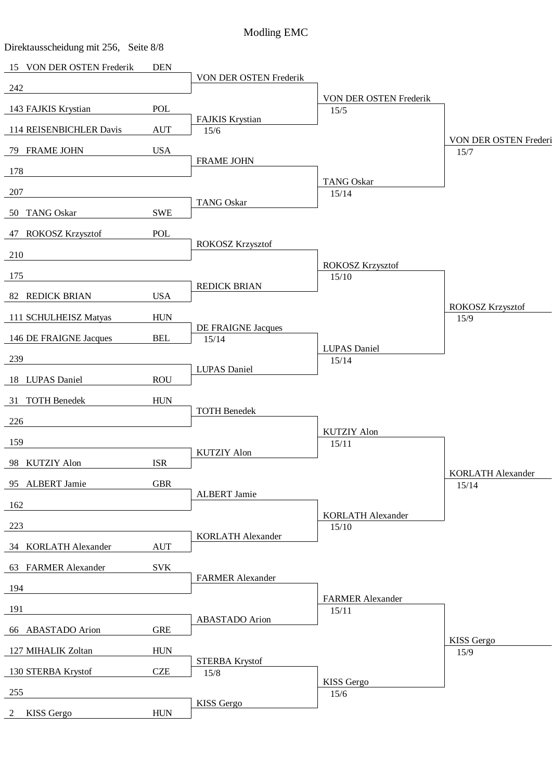| Direktausscheidung mit 256, Seite 8/8 |                    |                          |                                   |                                   |
|---------------------------------------|--------------------|--------------------------|-----------------------------------|-----------------------------------|
| 15 VON DER OSTEN Frederik             | $\mathbf{DEN}$     |                          |                                   |                                   |
| 242                                   |                    | VON DER OSTEN Frederik   |                                   |                                   |
| 143 FAJKIS Krystian                   | POL                |                          | VON DER OSTEN Frederik<br>15/5    |                                   |
| 114 REISENBICHLER Davis               | <b>AUT</b>         | FAJKIS Krystian<br>15/6  |                                   |                                   |
|                                       |                    |                          |                                   | VON DER OSTEN Frederi             |
| 79 FRAME JOHN                         | <b>USA</b>         | <b>FRAME JOHN</b>        |                                   | 15/7                              |
| 178                                   |                    |                          | <b>TANG Oskar</b>                 |                                   |
| 207                                   |                    | <b>TANG Oskar</b>        | 15/14                             |                                   |
| 50 TANG Oskar                         | <b>SWE</b>         |                          |                                   |                                   |
| 47 ROKOSZ Krzysztof                   | POL                |                          |                                   |                                   |
| 210                                   |                    | ROKOSZ Krzysztof         |                                   |                                   |
| 175                                   |                    |                          | ROKOSZ Krzysztof                  |                                   |
|                                       |                    | <b>REDICK BRIAN</b>      | 15/10                             |                                   |
| 82 REDICK BRIAN                       | <b>USA</b>         |                          |                                   | <b>ROKOSZ Krzysztof</b>           |
| 111 SCHULHEISZ Matyas                 | <b>HUN</b>         | DE FRAIGNE Jacques       |                                   | 15/9                              |
| 146 DE FRAIGNE Jacques                | <b>BEL</b>         | 15/14                    |                                   |                                   |
| 239                                   |                    |                          | <b>LUPAS</b> Daniel<br>15/14      |                                   |
| 18 LUPAS Daniel                       | <b>ROU</b>         | <b>LUPAS</b> Daniel      |                                   |                                   |
| 31 TOTH Benedek                       | <b>HUN</b>         |                          |                                   |                                   |
|                                       |                    | <b>TOTH Benedek</b>      |                                   |                                   |
| 226                                   |                    |                          | <b>KUTZIY Alon</b>                |                                   |
| 159                                   |                    | <b>KUTZIY Alon</b>       | 15/11                             |                                   |
| 98 KUTZIY Alon                        | <b>ISR</b>         |                          |                                   |                                   |
| 95 ALBERT Jamie                       | <b>GBR</b>         |                          |                                   | <b>KORLATH Alexander</b><br>15/14 |
| 162                                   |                    | ALBERT Jamie             |                                   |                                   |
| 223                                   |                    |                          | <b>KORLATH Alexander</b><br>15/10 |                                   |
|                                       |                    | <b>KORLATH Alexander</b> |                                   |                                   |
| 34 KORLATH Alexander                  | $\mathop{\rm AUT}$ |                          |                                   |                                   |
| 63 FARMER Alexander                   | <b>SVK</b>         | <b>FARMER Alexander</b>  |                                   |                                   |
| 194                                   |                    |                          | <b>FARMER Alexander</b>           |                                   |
| 191                                   |                    |                          | 15/11                             |                                   |
| 66 ABASTADO Arion                     | <b>GRE</b>         | <b>ABASTADO</b> Arion    |                                   |                                   |
| 127 MIHALIK Zoltan                    | <b>HUN</b>         |                          |                                   | <b>KISS</b> Gergo<br>15/9         |
|                                       | <b>CZE</b>         | <b>STERBA Krystof</b>    |                                   |                                   |
| 130 STERBA Krystof                    |                    | 15/8                     | KISS Gergo                        |                                   |
| 255                                   |                    | KISS Gergo               | 15/6                              |                                   |
| KISS Gergo<br>2                       | ${\rm HUN}$        |                          |                                   |                                   |